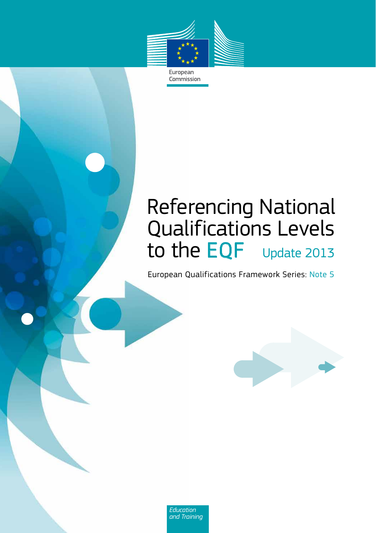

European Commission

## Referencing National Qualifications Levels to the EQF Update 2013

European Qualifications Framework Series: Note 5



Education<br>and Training *and Training*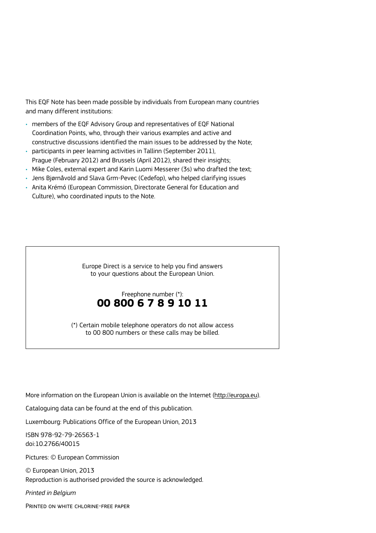This EQF Note has been made possible by individuals from European many countries and many different institutions:

- members of the EQF Advisory Group and representatives of EQF National Coordination Points, who, through their various examples and active and constructive discussions identified the main issues to be addressed by the Note;
- participants in peer learning activities in Tallinn (September 2011), Prague (February 2012) and Brussels (April 2012), shared their insights;
- Mike Coles, external expert and Karin Luomi Messerer (3s) who drafted the text;
- Jens Bjørnåvold and Slava Grm-Pevec (Cedefop), who helped clarifying issues
- Anita Krémó (European Commission, Directorate General for Education and Culture), who coordinated inputs to the Note.

Europe Direct is a service to help you find answers to your questions about the European Union.

#### Freephone number (\*): **00 800 6 7 8 9 10 11**

(\*) Certain mobile telephone operators do not allow access to 00 800 numbers or these calls may be billed.

More information on the European Union is available on the Internet ([http://europa.eu\)](http://europa.eu).

Cataloguing data can be found at the end of this publication.

Luxembourg: Publications Office of the European Union, 2013

ISBN 978-92-79-26563-1 doi:10.2766/40015

Pictures: © European Commission

© European Union, 2013 Reproduction is authorised provided the source is acknowledged.

*Printed in Belgium*

Printed on white chlorine-free paper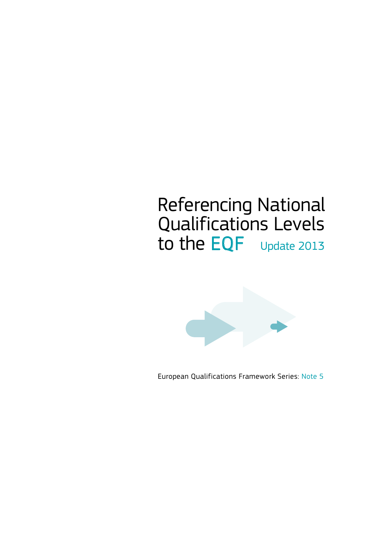## Referencing National Qualifications Levels to the EQF Update 2013



European Qualifications Framework Series: Note 5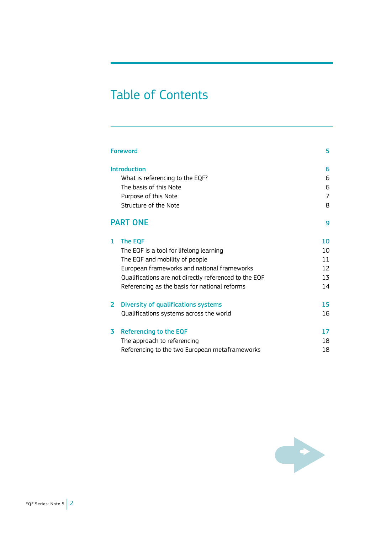## Table of Contents

| Foreword                                                                         | 5                 |
|----------------------------------------------------------------------------------|-------------------|
| <b>Introduction</b><br>What is referencing to the EQF?<br>The basis of this Note | 6<br>6<br>6       |
| Purpose of this Note                                                             | 7                 |
| Structure of the Note                                                            | 8                 |
| <b>PART ONE</b>                                                                  | 9                 |
| <b>The EQF</b><br>1                                                              | 10                |
| The EQF is a tool for lifelong learning                                          | 10                |
| The EQF and mobility of people                                                   | 11                |
| European frameworks and national frameworks                                      | $12 \overline{ }$ |
| Qualifications are not directly referenced to the EQF                            | 13                |
| Referencing as the basis for national reforms                                    | 14                |
| 2<br>Diversity of qualifications systems                                         | 15                |
| Qualifications systems across the world                                          | 16                |
| Referencing to the EQF<br>3                                                      | 17                |
| The approach to referencing                                                      | 18                |
| Referencing to the two European metaframeworks                                   | 18                |

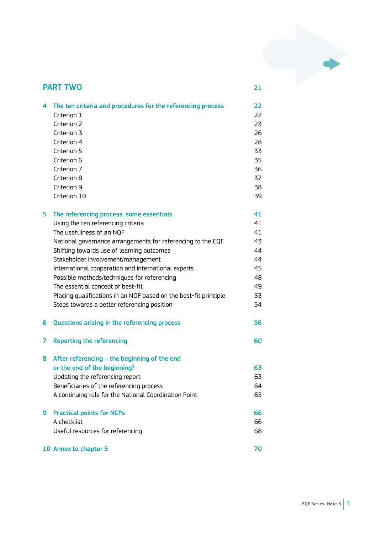

| 4 | The ten criteria and procedures for the referencing process      | 22 |
|---|------------------------------------------------------------------|----|
|   | Criterion 1                                                      | 22 |
|   | Criterion 2                                                      | 23 |
|   | Criterion 3                                                      | 26 |
|   | Criterion 4                                                      | 28 |
|   | Criterion 5                                                      | 33 |
|   | Criterion 6                                                      | 35 |
|   | Criterion 7                                                      | 36 |
|   | Criterion 8                                                      | 37 |
|   | Criterion 9                                                      | 38 |
|   | Criterion 10                                                     | 39 |
| 5 | The referencing process: some essentials                         | 41 |
|   | Using the ten referencing criteria                               | 41 |
|   | The usefulness of an NOF                                         | 41 |
|   | National governance arrangements for referencing to the EQF      | 43 |
|   | Shifting towards use of learning outcomes                        | 44 |
|   | Stakeholder involvement/management                               | 44 |
|   | International cooperation and international experts              | 45 |
|   | Possible methods/techniques for referencing                      | 48 |
|   | The essential concept of best-fit                                | 49 |
|   | Placing qualifications in an NQF based on the best-fit principle | 53 |
|   | Steps towards a better referencing position                      | 54 |
| 6 | Questions arising in the referencing process                     | 56 |
| 7 | <b>Reporting the referencing</b>                                 | 60 |
| 8 | After referencing - the beginning of the end                     |    |
|   | or the end of the beginning?                                     | 63 |
|   | Updating the referencing report                                  | 63 |
|   | Beneficiaries of the referencing process                         | 64 |
|   | A continuing role for the National Coordination Point            | 65 |
| 9 | <b>Practical points for NCPs</b>                                 | 66 |
|   | A checklist                                                      | 66 |
|   | Useful resources for referencing                                 | 68 |
|   | 10 Annex to chapter 5                                            | 70 |

PART TWO 21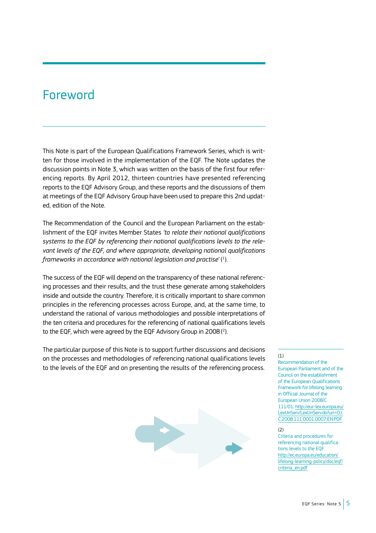### Foreword

This Note is part of the European Qualifications Framework Series, which is written for those involved in the implementation of the EQF. The Note updates the discussion points in Note 3, which was written on the basis of the first four referencing reports. By April 2012, thirteen countries have presented referencing reports to the EQF Advisory Group, and these reports and the discussions of them at meetings of the EQF Advisory Group have been used to prepare this 2nd updated, edition of the Note.

The Recommendation of the Council and the European Parliament on the establishment of the EQF invites Member States *'to relate their national qualifications systems to the EQF by referencing their national qualifications levels to the relevant levels of the EQF, and where appropriate, developing national qualifications frameworks in accordance with national legislation and practise*'( 1 ).

The success of the EQF will depend on the transparency of these national referencing processes and their results, and the trust these generate among stakeholders inside and outside the country. Therefore, it is critically important to share common principles in the referencing processes across Europe, and, at the same time, to understand the rational of various methodologies and possible interpretations of the ten criteria and procedures for the referencing of national qualifications levels to the EQF, which were agreed by the EQF Advisory Group in 2008( 2 ).

The particular purpose of this Note is to support further discussions and decisions on the processes and methodologies of referencing national qualifications levels to the levels of the EQF and on presenting the results of the referencing process.

#### (1)

Recommendation of the European Parliament and of the Council on the establishment of the European Qualifications Framework for lifelong learning in Official Journal of the European Union 2008/C 111/01. [http://eur-lex.europa.eu/](http://eur-lex.europa.eu/LexUriServ/LexUriServ.do?uri=OJ:C:2008:111:0001:0007:EN:PDF) [LexUriServ/LexUriServ.do?uri=OJ:](http://eur-lex.europa.eu/LexUriServ/LexUriServ.do?uri=OJ:C:2008:111:0001:0007:EN:PDF) [C:2008:111:0001:0007:EN:PDF](http://eur-lex.europa.eu/LexUriServ/LexUriServ.do?uri=OJ:C:2008:111:0001:0007:EN:PDF)

#### (2)

Criteria and procedures for referencing national qualifications levels to the EQF. [http://ec.europa.eu/education/](http://ec.europa.eu/education/lifelong-learning-policy/doc/eqf/criteria_en.pdf) [lifelong-learning-policy/doc/eqf/](http://ec.europa.eu/education/lifelong-learning-policy/doc/eqf/criteria_en.pdf) [criteria\\_en.pdf](http://ec.europa.eu/education/lifelong-learning-policy/doc/eqf/criteria_en.pdf)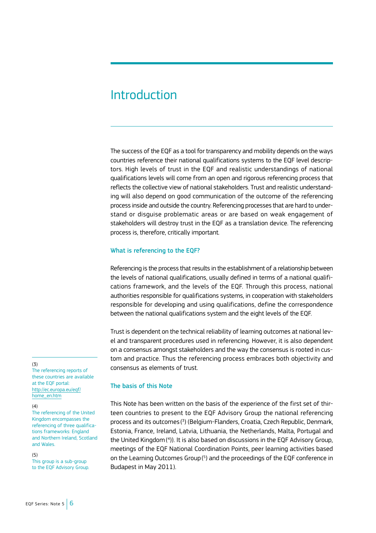### **Introduction**

The success of the EQF as a tool for transparency and mobility depends on the ways countries reference their national qualifications systems to the EQF level descriptors. High levels of trust in the EQF and realistic understandings of national qualifications levels will come from an open and rigorous referencing process that reflects the collective view of national stakeholders. Trust and realistic understanding will also depend on good communication of the outcome of the referencing process inside and outside the country. Referencing processes that are hard to understand or disguise problematic areas or are based on weak engagement of stakeholders will destroy trust in the EQF as a translation device. The referencing process is, therefore, critically important.

#### What is referencing to the EQF?

Referencing is the process that results in the establishment of a relationship between the levels of national qualifications, usually defined in terms of a national qualifications framework, and the levels of the EQF. Through this process, national authorities responsible for qualifications systems, in cooperation with stakeholders responsible for developing and using qualifications, define the correspondence between the national qualifications system and the eight levels of the EQF.

Trust is dependent on the technical reliability of learning outcomes at national level and transparent procedures used in referencing. However, it is also dependent on a consensus amongst stakeholders and the way the consensus is rooted in custom and practice. Thus the referencing process embraces both objectivity and consensus as elements of trust.

#### The basis of this Note

This Note has been written on the basis of the experience of the first set of thirteen countries to present to the EQF Advisory Group the national referencing process and its outcomes( 3 ) (Belgium-Flanders, Croatia, Czech Republic, Denmark, Estonia, France, Ireland, Latvia, Lithuania, the Netherlands, Malta, Portugal and the United Kingdom( 4 )). It is also based on discussions in the EQF Advisory Group, meetings of the EQF National Coordination Points, peer learning activities based on the Learning Outcomes Group (<sup>5</sup>) and the proceedings of the EQF conference in Budapest in May 2011).

#### (3)

The referencing reports of these countries are available at the EQF portal: [http://ec.europa.eu/eqf/](http://ec.europa.eu/eqf/home_en.htm) [home\\_en.htm](http://ec.europa.eu/eqf/home_en.htm)

#### (4)

The referencing of the United Kingdom encompasses the referencing of three qualifications frameworks: England and Northern Ireland, Scotland and Wales.

#### (5)

This group is a sub-group to the EQF Advisory Group.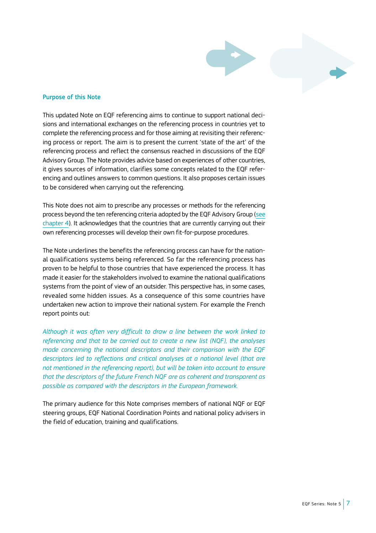

#### Purpose of this Note

This updated Note on EQF referencing aims to continue to support national decisions and international exchanges on the referencing process in countries yet to complete the referencing process and for those aiming at revisiting their referencing process or report. The aim is to present the current 'state of the art' of the referencing process and reflect the consensus reached in discussions of the EQF Advisory Group. The Note provides advice based on experiences of other countries, it gives sources of information, clarifies some concepts related to the EQF referencing and outlines answers to common questions. It also proposes certain issues to be considered when carrying out the referencing.

This Note does not aim to prescribe any processes or methods for the referencing process beyond the ten referencing criteria adopted by the EQF Advisory Group (see [chapter 4](#page-23-0)). It acknowledges that the countries that are currently carrying out their own referencing processes will develop their own fit-for-purpose procedures.

The Note underlines the benefits the referencing process can have for the national qualifications systems being referenced. So far the referencing process has proven to be helpful to those countries that have experienced the process. It has made it easier for the stakeholders involved to examine the national qualifications systems from the point of view of an outsider. This perspective has, in some cases, revealed some hidden issues. As a consequence of this some countries have undertaken new action to improve their national system. For example the French report points out:

*Although it was often very difficult to draw a line between the work linked to referencing and that to be carried out to create a new list (NQF), the analyses made concerning the national descriptors and their comparison with the EQF descriptors led to reflections and critical analyses at a national level (that are not mentioned in the referencing report), but will be taken into account to ensure that the descriptors of the future French NQF are as coherent and transparent as possible as compared with the descriptors in the European framework.*

The primary audience for this Note comprises members of national NQF or EQF steering groups, EQF National Coordination Points and national policy advisers in the field of education, training and qualifications.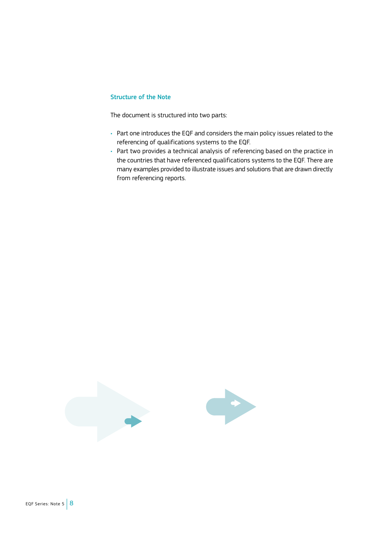#### Structure of the Note

The document is structured into two parts:

- Part one introduces the EQF and considers the main policy issues related to the referencing of qualifications systems to the EQF.
- Part two provides a technical analysis of referencing based on the practice in the countries that have referenced qualifications systems to the EQF. There are many examples provided to illustrate issues and solutions that are drawn directly from referencing reports.

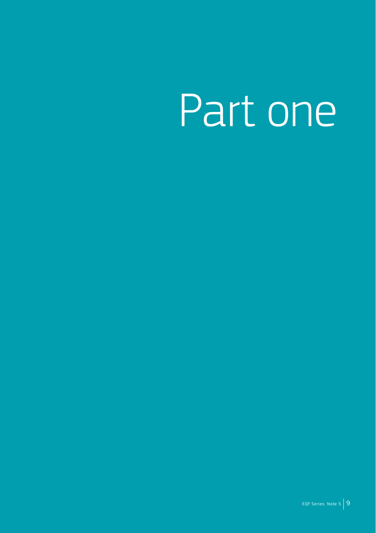# Part one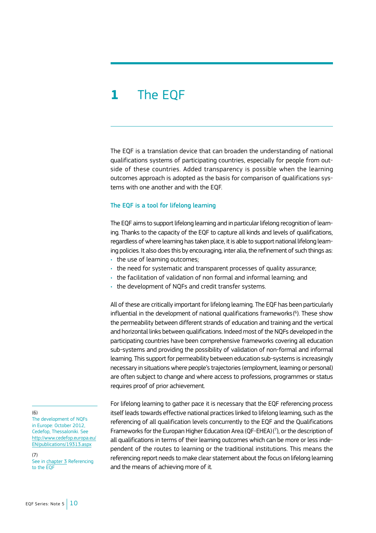## **1** The EQF

The EQF is a translation device that can broaden the understanding of national qualifications systems of participating countries, especially for people from outside of these countries. Added transparency is possible when the learning outcomes approach is adopted as the basis for comparison of qualifications systems with one another and with the EQF.

#### The EQF is a tool for lifelong learning

The EQF aims to support lifelong learning and in particular lifelong recognition of learning. Thanks to the capacity of the EQF to capture all kinds and levels of qualifications, regardless of where learning has taken place, it is able to support national lifelong learning policies. It also does this by encouraging, inter alia, the refinement of such things as:

- the use of learning outcomes;
- the need for systematic and transparent processes of quality assurance;
- the facilitation of validation of non formal and informal learning; and
- the development of NQFs and credit transfer systems.

All of these are critically important for lifelong learning. The EQF has been particularly influential in the development of national qualifications frameworks( 6 ). These show the permeability between different strands of education and training and the vertical and horizontal links between qualifications. Indeed most of the NQFs developed in the participating countries have been comprehensive frameworks covering all education sub-systems and providing the possibility of validation of non-formal and informal learning. This support for permeability between education sub-systems is increasingly necessary in situations where people's trajectories (employment, learning or personal) are often subject to change and where access to professions, programmes or status requires proof of prior achievement.

For lifelong learning to gather pace it is necessary that the EQF referencing process itself leads towards effective national practices linked to lifelong learning, such as the referencing of all qualification levels concurrently to the EQF and the Qualifications Frameworks for the Europan Higher Education Area (QF-EHEA)( 7 ), or the description of all qualifications in terms of their learning outcomes which can be more or less independent of the routes to learning or the traditional institutions. This means the referencing report needs to make clear statement about the focus on lifelong learning and the means of achieving more of it.

(6)

The development of NQFs in Europe: October 2012, Cedefop, Thessaloniki. See [http://www.cedefop.europa.eu/](http://www.cedefop.europa.eu/EN/publications/19313.aspx) [EN/publications/19313.aspx](http://www.cedefop.europa.eu/EN/publications/19313.aspx)

(7) See in [chapter 3](#page-18-0) Referencing to the EQF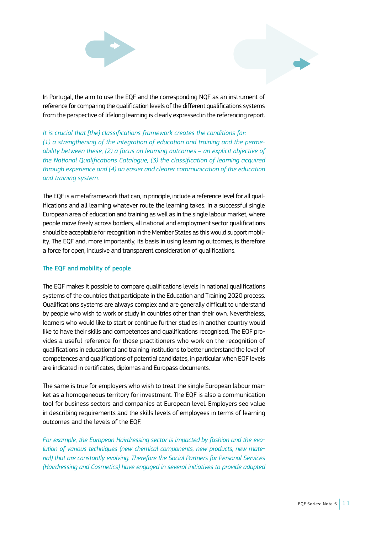

In Portugal, the aim to use the EQF and the corresponding NQF as an instrument of reference for comparing the qualification levels of the different qualifications systems from the perspective of lifelong learning is clearly expressed in the referencing report.

*It is crucial that [the] classifications framework creates the conditions for: (1) a strengthening of the integration of education and training and the permeability between these, (2) a focus on learning outcomes – an explicit objective of the National Qualifications Catalogue, (3) the classification of learning acquired through experience and (4) an easier and clearer communication of the education and training system.*

The EQF is a metaframework that can, in principle, include a reference level for all qualifications and all learning whatever route the learning takes. In a successful single European area of education and training as well as in the single labour market, where people move freely across borders, all national and employment sector qualifications should be acceptable for recognition in the Member States as this would support mobility. The EQF and, more importantly, its basis in using learning outcomes, is therefore a force for open, inclusive and transparent consideration of qualifications.

#### The EQF and mobility of people

The EQF makes it possible to compare qualifications levels in national qualifications systems of the countries that participate in the Education and Training 2020 process. Qualifications systems are always complex and are generally difficult to understand by people who wish to work or study in countries other than their own. Nevertheless, learners who would like to start or continue further studies in another country would like to have their skills and competences and qualifications recognised. The EQF provides a useful reference for those practitioners who work on the recognition of qualifications in educational and training institutions to better understand the level of competences and qualifications of potential candidates, in particular when EQF levels are indicated in certificates, diplomas and Europass documents.

The same is true for employers who wish to treat the single European labour market as a homogeneous territory for investment. The EQF is also a communication tool for business sectors and companies at European level. Employers see value in describing requirements and the skills levels of employees in terms of learning outcomes and the levels of the EQF.

*For example, the European Hairdressing sector is impacted by fashion and the evolution of various techniques (new chemical components, new products, new material) that are constantly evolving. Therefore the Social Partners for Personal Services (Hairdressing and Cosmetics) have engaged in several initiatives to provide adapted*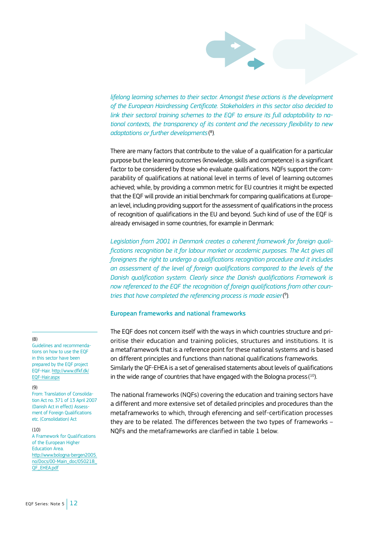*lifelong learning schemes to their sector. Amongst these actions is the development of the European Hairdressing Certificate. Stakeholders in this sector also decided to link their sectoral training schemes to the EQF to ensure its full adaptability to national contexts, the transparency of its content and the necessary flexibility to new adaptations or further developments*( 8 )*.*

There are many factors that contribute to the value of a qualification for a particular purpose but the learning outcomes (knowledge, skills and competence) is a significant factor to be considered by those who evaluate qualifications. NQFs support the comparability of qualifications at national level in terms of level of learning outcomes achieved; while, by providing a common metric for EU countries it might be expected that the EQF will provide an initial benchmark for comparing qualifications at European level, including providing support for the assessment of qualifications in the process of recognition of qualifications in the EU and beyond. Such kind of use of the EQF is already envisaged in some countries, for example in Denmark:

*Legislation from 2001 in Denmark creates a coherent framework for foreign qualifications recognition be it for labour market or academic purposes. The Act gives all foreigners the right to undergo a qualifications recognition procedure and it includes an assessment of the level of foreign qualifications compared to the levels of the Danish qualification system. Clearly since the Danish qualifications Framework is now referenced to the EQF the recognition of foreign qualifications from other countries that have completed the referencing process is made easier*( 9 )*.*

#### European frameworks and national frameworks

The EQF does not concern itself with the ways in which countries structure and prioritise their education and training policies, structures and institutions. It is a metaframework that is a reference point for these national systems and is based on different principles and functions than national qualifications frameworks. Similarly the QF-EHEA is a set of generalised statements about levels of qualifications in the wide range of countries that have engaged with the Bologna process ( $^{10}$ ).

The national frameworks (NQFs) covering the education and training sectors have a different and more extensive set of detailed principles and procedures than the metaframeworks to which, through eferencing and self-certification processes they are to be related. The differences between the two types of frameworks – NQFs and the metaframeworks are clarified in table 1 below.

#### (8)

Guidelines and recommendations on how to use the EQF in this sector have been prepared by the EQF project EQF-Hair. <http://www.dfkf.dk/> [EQF-Hair.aspx](http://www.dfkf.dk/)

#### (9)

From: Translation of Consolidation Act no. 371 of 13 April 2007 (Danish Act in effect) Assessment of Foreign Qualifications etc. (Consolidation) Act

#### (10)

A Framework for Qualifications of the European Higher Education Area. [http://www.bologna-bergen2005.](http://www.bologna-bergen2005.no/Docs/00-Main_doc/050218_QF_EHEA.pdf) [no/Docs/00-Main\\_doc/050218\\_](http://www.bologna-bergen2005.no/Docs/00-Main_doc/050218_QF_EHEA.pdf) OF EHEA.pdf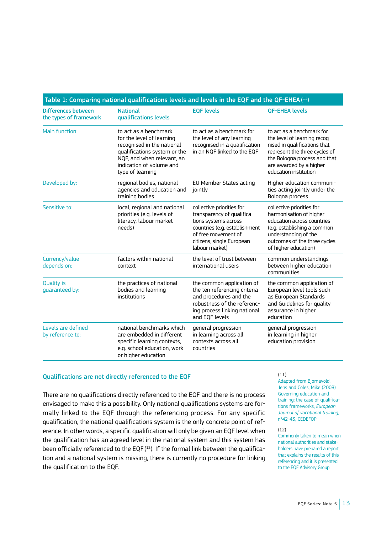| Table 1: Comparing national qualifications levels and levels in the EQF and the QF-EHEA $(^{11})$ |                                                                                                                                                                                                |                                                                                                                                                                                        |                                                                                                                                                                                                                |  |
|---------------------------------------------------------------------------------------------------|------------------------------------------------------------------------------------------------------------------------------------------------------------------------------------------------|----------------------------------------------------------------------------------------------------------------------------------------------------------------------------------------|----------------------------------------------------------------------------------------------------------------------------------------------------------------------------------------------------------------|--|
| <b>Differences between</b><br>the types of framework                                              | <b>National</b><br>qualifications levels                                                                                                                                                       | <b>EQF levels</b>                                                                                                                                                                      | <b>QF-EHEA levels</b>                                                                                                                                                                                          |  |
| Main function:                                                                                    | to act as a benchmark<br>for the level of learning<br>recognised in the national<br>qualifications system or the<br>NQF, and when relevant, an<br>indication of volume and<br>type of learning | to act as a benchmark for<br>the level of any learning<br>recognised in a qualification<br>in an NOF linked to the EOF                                                                 | to act as a benchmark for<br>the level of learning recog-<br>nised in qualifications that<br>represent the three cycles of<br>the Bologna process and that<br>are awarded by a higher<br>education institution |  |
| Developed by:                                                                                     | regional bodies, national<br>agencies and education and<br>training bodies                                                                                                                     | EU Member States acting<br>jointly                                                                                                                                                     | Higher education communi-<br>ties acting jointly under the<br>Bologna process                                                                                                                                  |  |
| Sensitive to:                                                                                     | local, regional and national<br>priorities (e.g. levels of<br>literacy, labour market<br>needs)                                                                                                | collective priorities for<br>transparency of qualifica-<br>tions systems across<br>countries (e.g. establishment<br>of free movement of<br>citizens, single European<br>labour market) | collective priorities for<br>harmonisation of higher<br>education across countries<br>(e.g. establishing a common<br>understanding of the<br>outcomes of the three cycles<br>of higher education)              |  |
| Currency/value<br>depends on:                                                                     | factors within national<br>context                                                                                                                                                             | the level of trust between<br>international users                                                                                                                                      | common understandings<br>between higher education<br>communities                                                                                                                                               |  |
| <b>Quality is</b><br>quaranteed by:                                                               | the practices of national<br>bodies and learning<br>institutions                                                                                                                               | the common application of<br>the ten referencing criteria<br>and procedures and the<br>robustness of the referenc-<br>ing process linking national<br>and EOF levels                   | the common application of<br>European level tools such<br>as European Standards<br>and Guidelines for quality<br>assurance in higher<br>education                                                              |  |
| Levels are defined<br>by reference to:                                                            | national benchmarks which<br>are embedded in different<br>specific learning contexts,<br>e.g. school education, work<br>or higher education                                                    | general progression<br>in learning across all<br>contexts across all<br>countries                                                                                                      | general progression<br>in learning in higher<br>education provision                                                                                                                                            |  |

#### Qualifications are not directly referenced to the EQF

There are no qualifications directly referenced to the EQF and there is no process envisaged to make this a possibility. Only national qualifications systems are formally linked to the EQF through the referencing process. For any specific qualification, the national qualifications system is the only concrete point of reference. In other words, a specific qualification will only be given an EQF level when the qualification has an agreed level in the national system and this system has been officially referenced to the EQF( 12). If the formal link between the qualification and a national system is missing, there is currently no procedure for linking the qualification to the EQF.

#### (11)

Adapted from Bjornavold, Jens and Coles, Mike (2008) Governing education and training; the case of qualifications frameworks, *European Journal of vocational training*, n°42-43, CEDEFOP

#### (12)

Commonly taken to mean when national authorities and stakeholders have prepared a report that explains the results of this referencing and it is presented to the EQF Advisory Group.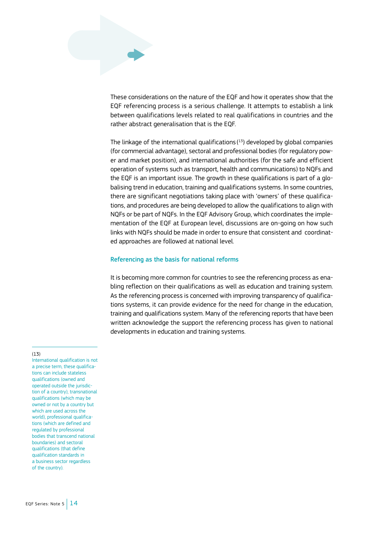These considerations on the nature of the EQF and how it operates show that the EQF referencing process is a serious challenge. It attempts to establish a link between qualifications levels related to real qualifications in countries and the rather abstract generalisation that is the EQF.

The linkage of the international qualifications ( 13) developed by global companies (for commercial advantage), sectoral and professional bodies (for regulatory power and market position), and international authorities (for the safe and efficient operation of systems such as transport, health and communications) to NQFs and the EQF is an important issue. The growth in these qualifications is part of a globalising trend in education, training and qualifications systems. In some countries, there are significant negotiations taking place with 'owners' of these qualifications, and procedures are being developed to allow the qualifications to align with NQFs or be part of NQFs. In the EQF Advisory Group, which coordinates the implementation of the EQF at European level, discussions are on-going on how such links with NQFs should be made in order to ensure that consistent and coordinated approaches are followed at national level.

#### Referencing as the basis for national reforms

It is becoming more common for countries to see the referencing process as enabling reflection on their qualifications as well as education and training system. As the referencing process is concerned with improving transparency of qualifications systems, it can provide evidence for the need for change in the education, training and qualifications system. Many of the referencing reports that have been written acknowledge the support the referencing process has given to national developments in education and training systems.

#### (13)

International qualification is not a precise term, these qualifications can include stateless qualifications (owned and operated outside the jurisdiction of a country), transnational qualifications (which may be owned or not by a country but which are used across the world), professional qualifications (which are defined and regulated by professional bodies that transcend national boundaries) and sectoral qualifications (that define qualification standards in a business sector regardless of the country).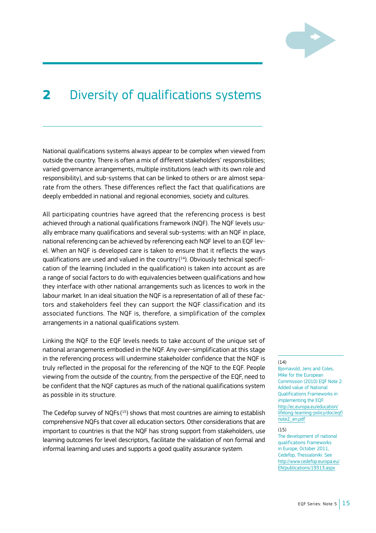

## **2** Diversity of qualifications systems

National qualifications systems always appear to be complex when viewed from outside the country. There is often a mix of different stakeholders' responsibilities; varied governance arrangements, multiple institutions (each with its own role and responsibility), and sub-systems that can be linked to others or are almost separate from the others. These differences reflect the fact that qualifications are deeply embedded in national and regional economies, society and cultures.

All participating countries have agreed that the referencing process is best achieved through a national qualifications framework (NQF). The NQF levels usually embrace many qualifications and several sub-systems: with an NQF in place, national referencing can be achieved by referencing each NQF level to an EQF level. When an NQF is developed care is taken to ensure that it reflects the ways qualifications are used and valued in the country( 14). Obviously technical specification of the learning (included in the qualification) is taken into account as are a range of social factors to do with equivalencies between qualifications and how they interface with other national arrangements such as licences to work in the labour market. In an ideal situation the NQF is a representation of all of these factors and stakeholders feel they can support the NQF classification and its associated functions. The NQF is, therefore, a simplification of the complex arrangements in a national qualifications system.

Linking the NQF to the EQF levels needs to take account of the unique set of national arrangements embodied in the NQF. Any over-simplification at this stage in the referencing process will undermine stakeholder confidence that the NQF is truly reflected in the proposal for the referencing of the NQF to the EQF. People viewing from the outside of the country, from the perspective of the EQF, need to be confident that the NQF captures as much of the national qualifications system as possible in its structure.

The Cedefop survey of NQFs $(^{15})$  shows that most countries are aiming to establish comprehensive NQFs that cover all education sectors. Other considerations that are important to countries is that the NQF has strong support from stakeholders, use learning outcomes for level descriptors, facilitate the validation of non formal and informal learning and uses and supports a good quality assurance system.

#### (14)

Bjornavold, Jens and Coles, Mike for the European Commission (2010) EQF Note 2: Added value of National Qualifications Frameworks in implementing the EQF. [http://ec.europa.eu/education/](http://ec.europa.eu/education/lifelong-learning-policy/doc/eqf/note2_en.pdf) [lifelong-learning-policy/doc/eqf/](http://ec.europa.eu/education/lifelong-learning-policy/doc/eqf/note2_en.pdf) note<sub>2</sub>\_en.pdf

#### (15)

The development of national qualifications frameworks in Europe, October 2011, Cedefop, Thessaloniki. See [http://www.cedefop.europa.eu/](http://www.cedefop.europa.eu/EN/publications/19313.aspx) [EN/publications/19313.aspx](http://www.cedefop.europa.eu/EN/publications/19313.aspx)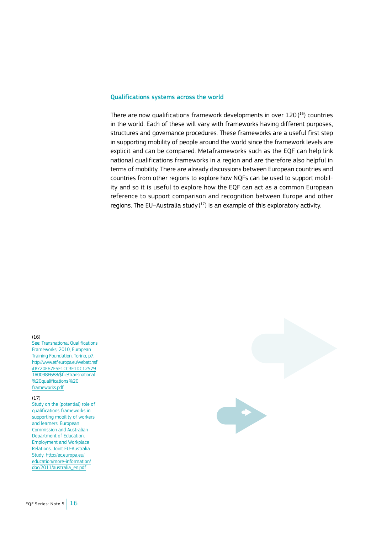#### Qualifications systems across the world

There are now qualifications framework developments in over 120( 16) countries in the world. Each of these will vary with frameworks having different purposes, structures and governance procedures. These frameworks are a useful first step in supporting mobility of people around the world since the framework levels are explicit and can be compared. Metaframeworks such as the EQF can help link national qualifications frameworks in a region and are therefore also helpful in terms of mobility. There are already discussions between European countries and countries from other regions to explore how NQFs can be used to support mobility and so it is useful to explore how the EQF can act as a common European reference to support comparison and recognition between Europe and other regions. The EU–Australia study  $(^{17})$  is an example of this exploratory activity.

#### (16)

See: Transnational Qualifications Frameworks, 2010, European Training Foundation, Torino, p7. [http://www.etf.europa.eu/webatt.nsf](http://www.etf.europa.eu/web.nsf/pages/Transnational_qualifications_frameworks) [/0/720E67F5F1CC3E1DC12579](http://www.etf.europa.eu/web.nsf/pages/Transnational_qualifications_frameworks) [1A0038E688/\\$file/Transnational](http://www.etf.europa.eu/web.nsf/pages/Transnational_qualifications_frameworks) [%20qualifications%20](http://www.etf.europa.eu/web.nsf/pages/Transnational_qualifications_frameworks) [frameworks.pdf](http://www.etf.europa.eu/web.nsf/pages/Transnational_qualifications_frameworks)

#### (17)

Study on the (potential) role of qualifications frameworks in supporting mobility of workers and learners. European Commission and Australian Department of Education, Employment and Workplace Relations. Joint EU-Australia Study. [http://ec.europa.eu/](http://ec.europa.eu/education/more-information/doc/2011/australia_en.pdf) [education/more-information/](http://ec.europa.eu/education/more-information/doc/2011/australia_en.pdf) [doc/2011/australia\\_en.pdf](http://ec.europa.eu/education/more-information/doc/2011/australia_en.pdf)

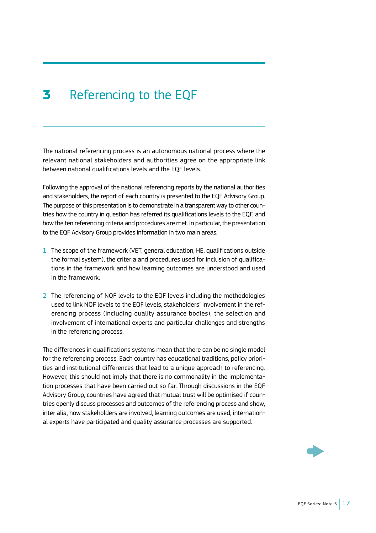## <span id="page-18-0"></span>**3** Referencing to the EQF

The national referencing process is an autonomous national process where the relevant national stakeholders and authorities agree on the appropriate link between national qualifications levels and the EQF levels.

Following the approval of the national referencing reports by the national authorities and stakeholders, the report of each country is presented to the EQF Advisory Group. The purpose of this presentation is to demonstrate in a transparent way to other countries how the country in question has referred its qualifications levels to the EQF, and how the ten referencing criteria and procedures are met. In particular, the presentation to the EQF Advisory Group provides information in two main areas.

- 1. The scope of the framework (VET, general education, HE, qualifications outside the formal system), the criteria and procedures used for inclusion of qualifications in the framework and how learning outcomes are understood and used in the framework;
- 2. The referencing of NQF levels to the EQF levels including the methodologies used to link NQF levels to the EQF levels, stakeholders' involvement in the referencing process (including quality assurance bodies), the selection and involvement of international experts and particular challenges and strengths in the referencing process.

The differences in qualifications systems mean that there can be no single model for the referencing process. Each country has educational traditions, policy priorities and institutional differences that lead to a unique approach to referencing. However, this should not imply that there is no commonality in the implementation processes that have been carried out so far. Through discussions in the EQF Advisory Group, countries have agreed that mutual trust will be optimised if countries openly discuss processes and outcomes of the referencing process and show, inter alia, how stakeholders are involved, learning outcomes are used, international experts have participated and quality assurance processes are supported.

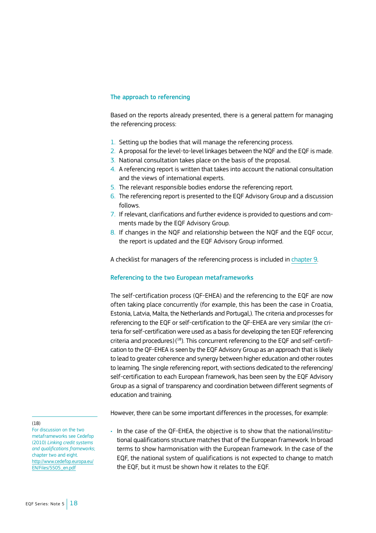#### The approach to referencing

Based on the reports already presented, there is a general pattern for managing the referencing process:

- 1. Setting up the bodies that will manage the referencing process.
- 2. A proposal for the level-to-level linkages between the NQF and the EQF is made.
- 3. National consultation takes place on the basis of the proposal.
- 4. A referencing report is written that takes into account the national consultation and the views of international experts.
- 5. The relevant responsible bodies endorse the referencing report.
- 6. The referencing report is presented to the EQF Advisory Group and a discussion follows.
- 7. If relevant, clarifications and further evidence is provided to questions and comments made by the EQF Advisory Group.
- 8. If changes in the NQF and relationship between the NQF and the EQF occur, the report is updated and the EQF Advisory Group informed.

A checklist for managers of the referencing process is included in [chapter 9](#page-67-0).

#### Referencing to the two European metaframeworks

The self-certification process (QF-EHEA) and the referencing to the EQF are now often taking place concurrently (for example, this has been the case in Croatia, Estonia, Latvia, Malta, the Netherlands and Portugal,). The criteria and processes for referencing to the EQF or self-certification to the QF-EHEA are very similar (the criteria for self-certification were used as a basis for developing the ten EQF referencing criteria and procedures)( 18). This concurrent referencing to the EQF and self-certification to the QF-EHEA is seen by the EQF Advisory Group as an approach that is likely to lead to greater coherence and synergy between higher education and other routes to learning. The single referencing report, with sections dedicated to the referencing/ self-certification to each European framework, has been seen by the EQF Advisory Group as a signal of transparency and coordination between different segments of education and training.

However, there can be some important differences in the processes, for example:

• In the case of the QF-EHEA, the objective is to show that the national/institutional qualifications structure matches that of the European framework. In broad terms to show harmonisation with the European framework. In the case of the EQF, the national system of qualifications is not expected to change to match

the EQF, but it must be shown how it relates to the EQF.

(18)

For discussion on the two metaframeworks see Cedefop (2010) *Linking credit systems and qualifications frameworks*; chapter two and eight. [http://www.cedefop.europa.eu/](http://www.cedefop.europa.eu/EN/Files/5505_en.pdf) [EN/Files/5505\\_en.pdf](http://www.cedefop.europa.eu/EN/Files/5505_en.pdf)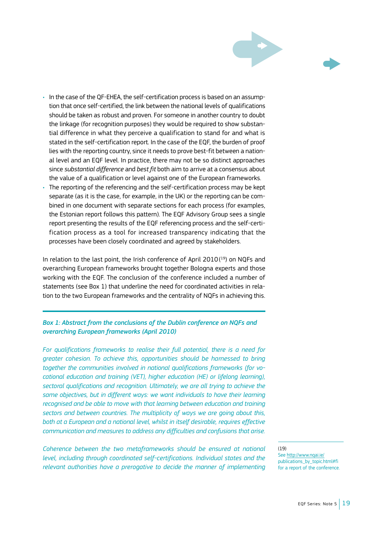

- In the case of the QF-EHEA, the self-certification process is based on an assumption that once self-certified, the link between the national levels of qualifications should be taken as robust and proven. For someone in another country to doubt the linkage (for recognition purposes) they would be required to show substantial difference in what they perceive a qualification to stand for and what is stated in the self-certification report. In the case of the EQF, the burden of proof lies with the reporting country, since it needs to prove best-fit between a national level and an EQF level. In practice, there may not be so distinct approaches since *substantial difference* and *best fit* both aim to arrive at a consensus about the value of a qualification or level against one of the European frameworks.
- The reporting of the referencing and the self-certification process may be kept separate (as it is the case, for example, in the UK) or the reporting can be combined in one document with separate sections for each process (for examples, the Estonian report follows this pattern). The EQF Advisory Group sees a single report presenting the results of the EQF referencing process and the self-certification process as a tool for increased transparency indicating that the processes have been closely coordinated and agreed by stakeholders.

In relation to the last point, the Irish conference of April 2010( 19) on NQFs and overarching European frameworks brought together Bologna experts and those working with the EQF. The conclusion of the conference included a number of statements (see Box 1) that underline the need for coordinated activities in relation to the two European frameworks and the centrality of NQFs in achieving this.

#### *Box 1: Abstract from the conclusions of the Dublin conference on NQFs and overarching European frameworks (April 2010)*

*For qualifications frameworks to realise their full potential, there is a need for greater cohesion. To achieve this, opportunities should be harnessed to bring together the communities involved in national qualifications frameworks (for vocational education and training (VET), higher education (HE) or lifelong learning), sectoral qualifications and recognition. Ultimately, we are all trying to achieve the same objectives, but in different ways: we want individuals to have their learning recognised and be able to move with that learning between education and training sectors and between countries. The multiplicity of ways we are going about this, both at a European and a national level, whilst in itself desirable, requires effective communication and measures to address any difficulties and confusions that arise.* 

*Coherence between the two metaframeworks should be ensured at national level, including through coordinated self-certifications. Individual states and the relevant authorities have a prerogative to decide the manner of implementing* 

(19)

See<http://www.nqai.ie/> publications\_by\_topic.html#fi for a report of the conference.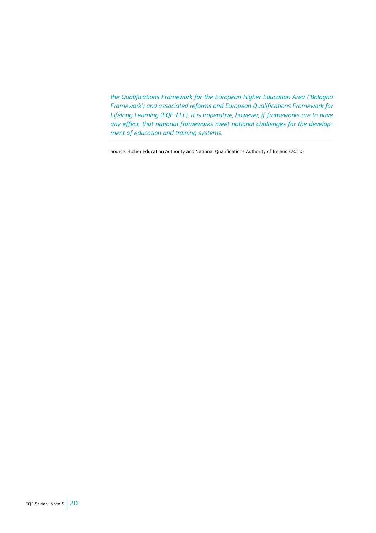*the Qualifications Framework for the European Higher Education Area ('Bologna Framework') and associated reforms and European Qualifications Framework for Lifelong Learning (EQF-LLL). It is imperative, however, if frameworks are to have any effect, that national frameworks meet national challenges for the development of education and training systems.*

Source: Higher Education Authority and National Qualifications Authority of Ireland (2010)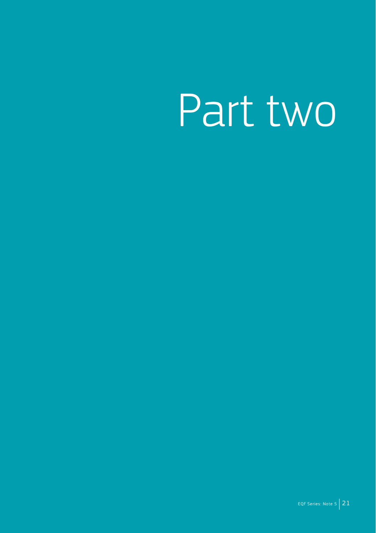# Part two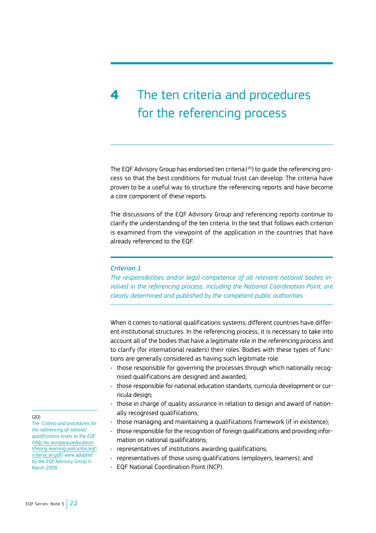## <span id="page-23-0"></span>**4** The ten criteria and procedures for the referencing process

The EQF Advisory Group has endorsed ten criteria( 20) to guide the referencing process so that the best conditions for mutual trust can develop. The criteria have proven to be a useful way to structure the referencing reports and have become a core component of these reports.

The discussions of the EQF Advisory Group and referencing reports continue to clarify the understanding of the ten criteria. In the text that follows each criterion is examined from the viewpoint of the application in the countries that have already referenced to the EQF.

#### *Criterion 1*

*The responsibilities and/or legal competence of all relevant national bodies involved in the referencing process, including the National Coordination Point, are clearly determined and published by the competent public authorities.* 

When it comes to national qualifications systems, different countries have different institutional structures. In the referencing process, it is necessary to take into account all of the bodies that have a legitimate role in the referencing process and to clarify (for international readers) their roles. Bodies with these types of functions are generally considered as having such legitimate role:

- those responsible for governing the processes through which nationally recognised qualifications are designed and awarded;
- those responsible for national education standarts, curricula development or curricula design;
- those in charge of quality assurance in relation to design and award of nationally recognised qualifications;
- those managing and maintaining a qualifications framework (if in existence);
- those responsible for the recognition of foreign qualifications and providing information on national qualifications;
- representatives of institutions awarding qualifications;
- representatives of those using qualifications (employers, learners); and
- EQF National Coordination Point (NCP).

(20)

The *'Criteria and procedures for the referencing of national qualifications levels to the EQF* [\(http://ec.europa.eu/education/](http://ec.europa.eu/education/lifelong-learning-policy/doc/eqf/criteria_en.pdf) [lifelong-learning-policy/doc/eqf/](http://ec.europa.eu/education/lifelong-learning-policy/doc/eqf/criteria_en.pdf) [criteria\\_en.pdf\)](http://ec.europa.eu/education/lifelong-learning-policy/doc/eqf/criteria_en.pdf) were adopted by the EQF Advisory Group in March 2009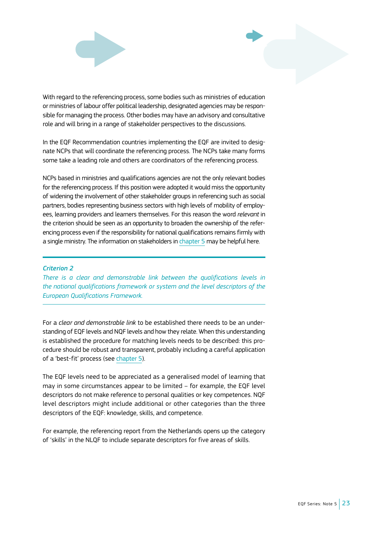

With regard to the referencing process, some bodies such as ministries of education or ministries of labour offer political leadership, designated agencies may be responsible for managing the process. Other bodies may have an advisory and consultative role and will bring in a range of stakeholder perspectives to the discussions.

In the EQF Recommendation countries implementing the EQF are invited to designate NCPs that will coordinate the referencing process. The NCPs take many forms some take a leading role and others are coordinators of the referencing process.

NCPs based in ministries and qualifications agencies are not the only relevant bodies for the referencing process. If this position were adopted it would miss the opportunity of widening the involvement of other stakeholder groups in referencing such as social partners, bodies representing business sectors with high levels of mobility of employees, learning providers and learners themselves. For this reason the word *relevant* in the criterion should be seen as an opportunity to broaden the ownership of the referencing process even if the responsibility for national qualifications remains firmly with a single ministry. The information on stakeholders in [chapter 5](#page-42-0) may be helpful here.

#### *Criterion 2*

*There is a clear and demonstrable link between the qualifications levels in the national qualifications framework or system and the level descriptors of the European Qualifications Framework.*

For a *clear and demonstrable link* to be established there needs to be an understanding of EQF levels and NQF levels and how they relate. When this understanding is established the procedure for matching levels needs to be described: this procedure should be robust and transparent, probably including a careful application of a 'best-fit' process (see [chapter 5\)](#page-42-0).

The EQF levels need to be appreciated as a generalised model of learning that may in some circumstances appear to be limited – for example, the EQF level descriptors do not make reference to personal qualities or key competences. NQF level descriptors might include additional or other categories than the three descriptors of the EQF: knowledge, skills, and competence.

For example, the referencing report from the Netherlands opens up the category of 'skills' in the NLQF to include separate descriptors for five areas of skills.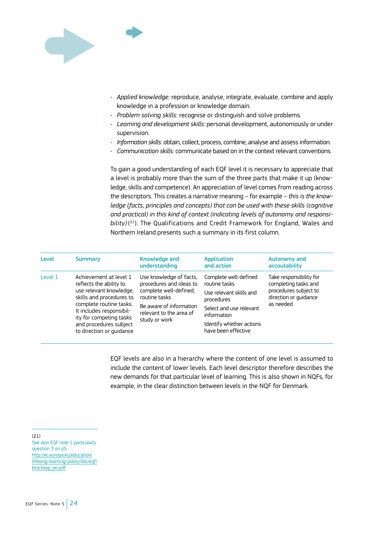

- *• Applied knowledge:* reproduce, analyse, integrate, evaluate, combine and apply knowledge in a profession or knowledge domain.
- *• Problem solving skills:* recognise or distinguish and solve problems.
- *• Learning and development skills:* personal development, autonomously or under supervision.
- *• Information skills:* obtain, collect, process, combine, analyse and assess information.
- *• Communication skills:* communicate based on in the context relevant conventions.

To gain a good understanding of each EQF level it is necessary to appreciate that a level is probably more than the sum of the three parts that make it up (knowledge, skills and competence). An appreciation of level comes from reading across the descriptors. This creates a narrative meaning – for example – *this is the knowledge (facts, principles and concepts) that can be used with these skills (cognitive and practical) in this kind of context (indicating levels of autonomy and responsibility)* ( 21). The Qualifications and Credit Framework for England, Wales and Northern Ireland presents such a summary in its first column.

| Level   | <b>Summary</b>                                                                                                                                                                                                                                   | <b>Knowledge and</b><br>understanding                                                                                                                                | Application<br>and action                                                                                                                                                    | Autonomy and<br>accoutability                                                                                  |
|---------|--------------------------------------------------------------------------------------------------------------------------------------------------------------------------------------------------------------------------------------------------|----------------------------------------------------------------------------------------------------------------------------------------------------------------------|------------------------------------------------------------------------------------------------------------------------------------------------------------------------------|----------------------------------------------------------------------------------------------------------------|
| Level 1 | Achievement at level 1<br>reflects the ability to<br>use relevant knowledge.<br>skills and procedures to<br>complete routine tasks.<br>It includes responsibil-<br>ity for competing tasks<br>and procedures subject<br>to direction or quidance | Use knowledge of facts.<br>procedures and ideas to<br>complete well-defined.<br>routine tasks<br>Be aware of information<br>relevant to the area of<br>study or work | Complete well-defined<br>routine tasks<br>Use relevant skills and<br>procedures<br>Select and use relevant<br>information<br>Identify whether actions<br>have been effective | Take responsibility for<br>completing tasks and<br>procedures subject to<br>direction or quidance<br>as needed |

EQF levels are also in a hierarchy where the content of one level is assumed to include the content of lower levels. Each level descriptor therefore describes the new demands for that particular level of learning. This is also shown in NQFs, for example, in the clear distinction between levels in the NQF for Denmark.

 $(21)$ See also EQF note 1 particularly question 3 on p5. [http://ec.europa.eu/education/](http://ec.europa.eu/education/lifelong-learning-policy/doc/eqf/brochexp_en.pdf) [lifelong-learning-policy/doc/eqf/](http://ec.europa.eu/education/lifelong-learning-policy/doc/eqf/brochexp_en.pdf) [brochexp\\_en.pdf](http://ec.europa.eu/education/lifelong-learning-policy/doc/eqf/brochexp_en.pdf)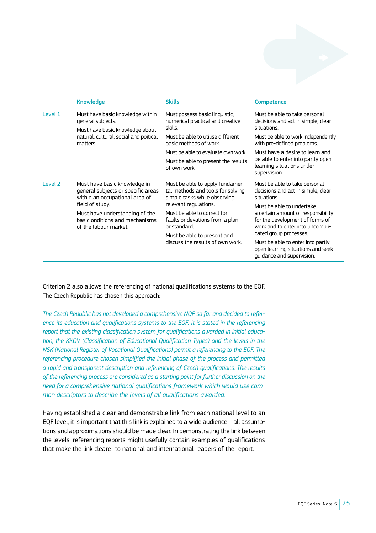|         | <b>Knowledge</b>                                                                                     | <b>Skills</b>                                                                                        | <b>Competence</b>                                                                                                                   |  |
|---------|------------------------------------------------------------------------------------------------------|------------------------------------------------------------------------------------------------------|-------------------------------------------------------------------------------------------------------------------------------------|--|
| Level 1 | Must have basic knowledge within<br>general subjects.                                                | Must possess basic linguistic,<br>numerical practical and creative                                   | Must be able to take personal<br>decisions and act in simple, clear                                                                 |  |
|         | Must have basic knowledge about<br>natural, cultural, social and poitical<br>matters.                | skills.                                                                                              | situations.                                                                                                                         |  |
|         |                                                                                                      | Must be able to utilise different<br>basic methods of work.                                          | Must be able to work independently<br>with pre-defined problems.                                                                    |  |
|         |                                                                                                      | Must be able to evaluate own work.                                                                   | Must have a desire to learn and<br>be able to enter into partly open<br>learning situations under<br>supervision.                   |  |
|         |                                                                                                      | Must be able to present the results<br>of own work.                                                  |                                                                                                                                     |  |
| Level 2 | Must have basic knowledge in<br>general subjects or specific areas<br>within an occupational area of | Must be able to apply fundamen-<br>tal methods and tools for solving<br>simple tasks while observing | Must be able to take personal<br>decisions and act in simple, clear<br>situations.                                                  |  |
|         | field of study.                                                                                      | relevant regulations.                                                                                | Must be able to undertake                                                                                                           |  |
|         | Must have understanding of the<br>basic onditions and mechanisms<br>of the labour market.            | Must be able to correct for<br>faults or devations from a plan<br>or standard.                       | a certain amount of responsibility<br>for the development of forms of<br>work and to enter into uncompli-<br>cated group processes. |  |
|         |                                                                                                      | Must be able to present and<br>discuss the results of own work.                                      |                                                                                                                                     |  |
|         |                                                                                                      |                                                                                                      | Must be able to enter into partly<br>open learning situations and seek<br>quidance and supervision.                                 |  |

Criterion 2 also allows the referencing of national qualifications systems to the EQF. The Czech Republic has chosen this approach:

*The Czech Republic has not developed a comprehensive NQF so far and decided to refer*ence its education and qualifications systems to the EQF. It is stated in the referencing *report that the existing classification system for qualifications awarded in initial education, the KKOV (Classification of Educational Qualification Types) and the levels in the NSK (National Register of Vocational Qualifications) permit a referencing to the EQF. The referencing procedure chosen simplified the initial phase of the process and permitted a rapid and transparent description and referencing of Czech qualifications. The results of the referencing process are considered as a starting point for further discussion on the need for a comprehensive national qualifications framework which would use common descriptors to describe the levels of all qualifications awarded.*

Having established a clear and demonstrable link from each national level to an EQF level, it is important that this link is explained to a wide audience – all assumptions and approximations should be made clear. In demonstrating the link between the levels, referencing reports might usefully contain examples of qualifications that make the link clearer to national and international readers of the report.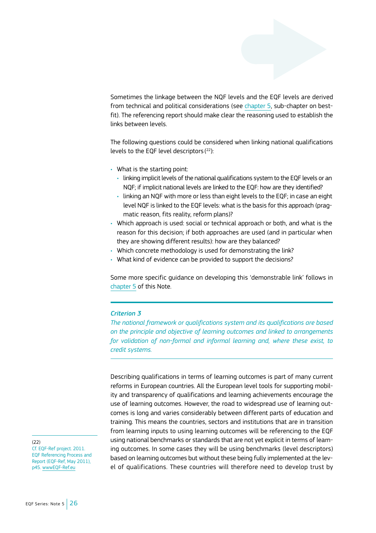Sometimes the linkage between the NQF levels and the EQF levels are derived from technical and political considerations (see [chapter 5,](#page-42-0) sub-chapter on bestfit). The referencing report should make clear the reasoning used to establish the links between levels.

The following questions could be considered when linking national qualifications levels to the EQF level descriptors ( 22):

- What is the starting point:
	- linking implicit levels of the national qualifications system to the EQF levels or an NQF; if implicit national levels are linked to the EQF: how are they identified?
	- linking an NQF with more or less than eight levels to the EQF; in case an eight level NQF is linked to the EQF levels: what is the basis for this approach (pragmatic reason, fits reality, reform plans)?
- Which approach is used: social or technical approach or both, and what is the reason for this decision; if both approaches are used (and in particular when they are showing different results): how are they balanced?
- Which concrete methodology is used for demonstrating the link?
- What kind of evidence can be provided to support the decisions?

Some more specific guidance on developing this 'demonstrable link' follows in [chapter 5](#page-42-0) of this Note.

#### *Criterion 3*

*The national framework or qualifications system and its qualifications are based on the principle and objective of learning outcomes and linked to arrangements for validation of non-formal and informal learning and, where these exist, to credit systems.*

Describing qualifications in terms of learning outcomes is part of many current reforms in European countries. All the European level tools for supporting mobility and transparency of qualifications and learning achievements encourage the use of learning outcomes. However, the road to widespread use of learning outcomes is long and varies considerably between different parts of education and training. This means the countries, sectors and institutions that are in transition from learning inputs to using learning outcomes will be referencing to the EQF using national benchmarks or standards that are not yet explicit in terms of learning outcomes. In some cases they will be using benchmarks (level descriptors) based on learning outcomes but without these being fully implemented at the level of qualifications. These countries will therefore need to develop trust by

(22)

Cf. EQF-Ref project. 2011. EQF Referencing Process and Report (EQF-Ref, May 2011), p45. [wwwEQF-Ref.eu](http://wwwEQF-Ref.eu)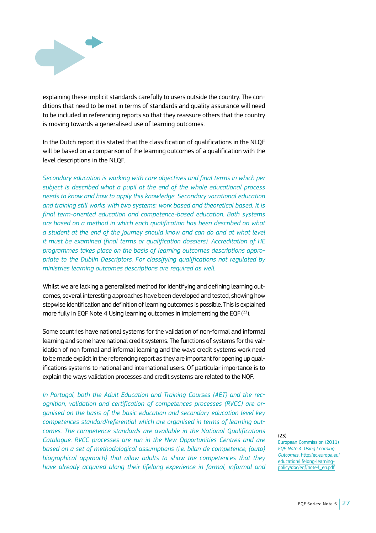

explaining these implicit standards carefully to users outside the country. The conditions that need to be met in terms of standards and quality assurance will need to be included in referencing reports so that they reassure others that the country is moving towards a generalised use of learning outcomes.

In the Dutch report it is stated that the classification of qualifications in the NLQF will be based on a comparison of the learning outcomes of a qualification with the level descriptions in the NLQF.

*Secondary education is working with core objectives and final terms in which per subject is described what a pupil at the end of the whole educational process needs to know and how to apply this knowledge. Secondary vocational education and training still works with two systems: work based and theoretical based. It is final term-oriented education and competence-based education. Both systems are based on a method in which each qualification has been described on what a student at the end of the journey should know and can do and at what level it must be examined (final terms or qualification dossiers). Accreditation of HE programmes takes place on the basis of learning outcomes descriptions appropriate to the Dublin Descriptors. For classifying qualifications not regulated by ministries learning outcomes descriptions are required as well.*

Whilst we are lacking a generalised method for identifying and defining learning outcomes, several interesting approaches have been developed and tested, showing how stepwise identification and definition of learning outcomes is possible. This is explained more fully in EQF Note 4 Using learning outcomes in implementing the EQF( 23).

Some countries have national systems for the validation of non-formal and informal learning and some have national credit systems. The functions of systems for the validation of non formal and informal learning and the ways credit systems work need to be made explicit in the referencing report as they are important for opening up qualifications systems to national and international users. Of particular importance is to explain the ways validation processes and credit systems are related to the NQF.

*In Portugal, both the Adult Education and Training Courses (AET) and the recognition, validation and certification of competences processes (RVCC) are organised on the basis of the basic education and secondary education level key competences standard/referential which are organised in terms of learning outcomes. The competence standards are available in the National Qualifications Catalogue. RVCC processes are run in the New Opportunities Centres and are based on a set of methodological assumptions (i.e. bilan de competence, (auto) biographical approach) that allow adults to show the competences that they have already acquired along their lifelong experience in formal, informal and* 

 $(23)$ European Commission (2011) *EQF Note 4: Using Learning Outcomes*. [http://ec.europa.eu/](http://ec.europa.eu/education/lifelong-learning-policy/doc/eqf/note4_en.pdf) [education/lifelong-learning](http://ec.europa.eu/education/lifelong-learning-policy/doc/eqf/note4_en.pdf)[policy/doc/eqf/note4\\_en.pdf](http://ec.europa.eu/education/lifelong-learning-policy/doc/eqf/note4_en.pdf)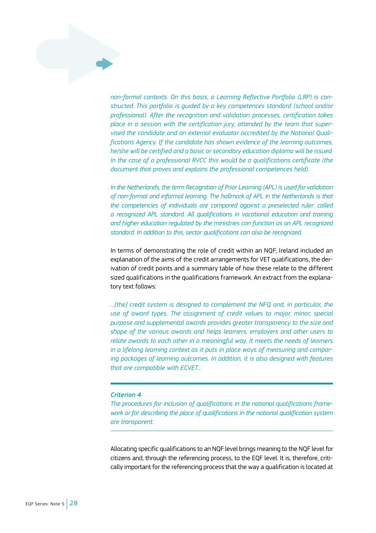*non-formal contexts. On this basis, a Learning Reflective Portfolio (LRP) is constructed. This portfolio is guided by a key competences standard (school and/or professional). After the recognition and validation processes, certification takes place in a session with the certification jury, attended by the team that supervised the candidate and an external evaluator accredited by the National Qualifications Agency. If the candidate has shown evidence of the learning outcomes, he/she will be certified and a basic or secondary education diploma will be issued. In the case of a professional RVCC this would be a qualifications certificate (the document that proves and explains the professional competences held).*

*In the Netherlands, the term Recognition of Prior Learning (APL) is used for validation of non-formal and informal learning. The hallmark of APL in the Netherlands is that the competencies of individuals are compared against a preselected ruler: called a recognized APL standard. All qualifications in vocational education and training and higher education regulated by the ministries can function as an APL recognized standard. In addition to this, sector qualifications can also be recognized.*

In terms of demonstrating the role of credit within an NQF, Ireland included an explanation of the aims of the credit arrangements for VET qualifications, the derivation of credit points and a summary table of how these relate to the different sized qualifications in the qualifications framework. An extract from the explanatory text follows:

*…[the] credit system is designed to complement the NFQ and, in particular, the use of award types. The assignment of credit values to major, minor, special purpose and supplemental awards provides greater transparency to the size and shape of the various awards and helps learners, employers and other users to relate awards to each other in a meaningful way. It meets the needs of learners in a lifelong learning context as it puts in place ways of measuring and comparing packages of learning outcomes. In addition, it is also designed with features that are compatible with ECVET…*

#### *Criterion 4*

*The procedures for inclusion of qualifications in the national qualifications framework or for describing the place of qualifications in the national qualification system are transparent.*

Allocating specific qualifications to an NQF level brings meaning to the NQF level for citizens and, through the referencing process, to the EQF level. It is, therefore, critically important for the referencing process that the way a qualification is located at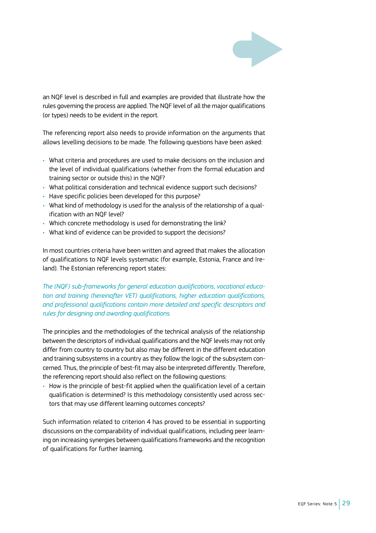

an NQF level is described in full and examples are provided that illustrate how the rules governing the process are applied. The NQF level of all the major qualifications (or types) needs to be evident in the report.

The referencing report also needs to provide information on the arguments that allows levelling decisions to be made. The following questions have been asked:

- What criteria and procedures are used to make decisions on the inclusion and the level of individual qualifications (whether from the formal education and training sector or outside this) in the NQF?
- What political consideration and technical evidence support such decisions?
- Have specific policies been developed for this purpose?
- What kind of methodology is used for the analysis of the relationship of a qualification with an NQF level?
- Which concrete methodology is used for demonstrating the link?
- What kind of evidence can be provided to support the decisions?

In most countries criteria have been written and agreed that makes the allocation of qualifications to NQF levels systematic (for example, Estonia, France and Ireland). The Estonian referencing report states:

*The (NQF) sub-frameworks for general education qualifications, vocational education and training (hereinafter VET) qualifications, higher education qualifications, and professional qualifications contain more detailed and specific descriptors and rules for designing and awarding qualifications.*

The principles and the methodologies of the technical analysis of the relationship between the descriptors of individual qualifications and the NQF levels may not only differ from country to country but also may be different in the different education and training subsystems in a country as they follow the logic of the subsystem concerned. Thus, the principle of best-fit may also be interpreted differently. Therefore, the referencing report should also reflect on the following questions:

• How is the principle of best-fit applied when the qualification level of a certain qualification is determined? Is this methodology consistently used across sectors that may use different learning outcomes concepts?

Such information related to criterion 4 has proved to be essential in supporting discussions on the comparability of individual qualifications, including peer learning on increasing synergies between qualifications frameworks and the recognition of qualifications for further learning.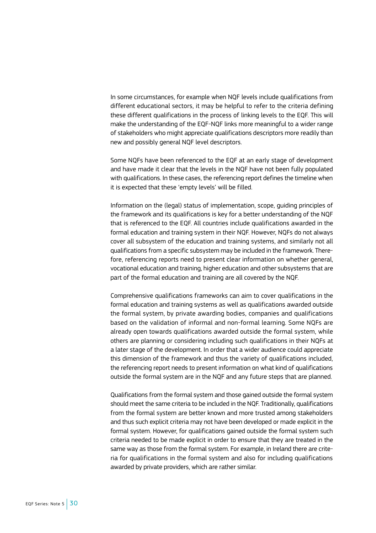In some circumstances, for example when NQF levels include qualifications from different educational sectors, it may be helpful to refer to the criteria defining these different qualifications in the process of linking levels to the EQF. This will make the understanding of the EQF-NQF links more meaningful to a wider range of stakeholders who might appreciate qualifications descriptors more readily than new and possibly general NQF level descriptors.

Some NQFs have been referenced to the EQF at an early stage of development and have made it clear that the levels in the NQF have not been fully populated with qualifications. In these cases, the referencing report defines the timeline when it is expected that these 'empty levels' will be filled.

Information on the (legal) status of implementation, scope, guiding principles of the framework and its qualifications is key for a better understanding of the NQF that is referenced to the EQF. All countries include qualifications awarded in the formal education and training system in their NQF. However, NQFs do not always cover all subsystem of the education and training systems, and similarly not all qualifications from a specific subsystem may be included in the framework. Therefore, referencing reports need to present clear information on whether general, vocational education and training, higher education and other subsystems that are part of the formal education and training are all covered by the NQF.

Comprehensive qualifications frameworks can aim to cover qualifications in the formal education and training systems as well as qualifications awarded outside the formal system, by private awarding bodies, companies and qualifications based on the validation of informal and non-formal learning. Some NQFs are already open towards qualifications awarded outside the formal system, while others are planning or considering including such qualifications in their NQFs at a later stage of the development. In order that a wider audience could appreciate this dimension of the framework and thus the variety of qualifications included, the referencing report needs to present information on what kind of qualifications outside the formal system are in the NQF and any future steps that are planned.

Qualifications from the formal system and those gained outside the formal system should meet the same criteria to be included in the NQF. Traditionally, qualifications from the formal system are better known and more trusted among stakeholders and thus such explicit criteria may not have been developed or made explicit in the formal system. However, for qualifications gained outside the formal system such criteria needed to be made explicit in order to ensure that they are treated in the same way as those from the formal system. For example, in Ireland there are criteria for qualifications in the formal system and also for including qualifications awarded by private providers, which are rather similar.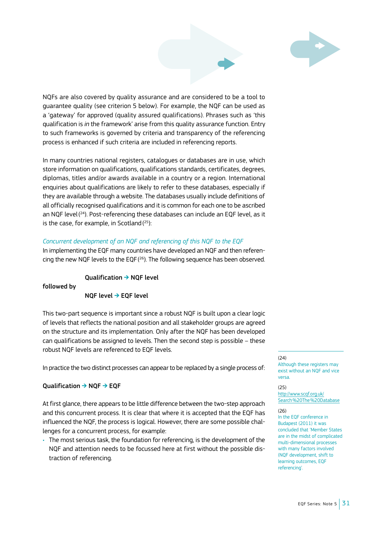

NQFs are also covered by quality assurance and are considered to be a tool to guarantee quality (see criterion 5 below). For example, the NQF can be used as a 'gateway' for approved (quality assured qualifications). Phrases such as 'this qualification is *in* the framework' arise from this quality assurance function. Entry to such frameworks is governed by criteria and transparency of the referencing process is enhanced if such criteria are included in referencing reports.

In many countries national registers, catalogues or databases are in use, which store information on qualifications, qualifications standards, certificates, degrees, diplomas, titles and/or awards available in a country or a region. International enquiries about qualifications are likely to refer to these databases, especially if they are available through a website. The databases usually include definitions of all officially recognised qualifications and it is common for each one to be ascribed an NQF level( 24). Post-referencing these databases can include an EQF level, as it is the case, for example, in Scotland( 25):

#### *Concurrent development of an NQF and referencing of this NQF to the EQF*

In implementing the EQF many countries have developed an NQF and then referencing the new NQF levels to the EQF( 26). The following sequence has been observed.

#### Qualification ➔ NQF level

followed by

#### NQF level ➔ EQF level

This two-part sequence is important since a robust NQF is built upon a clear logic of levels that reflects the national position and all stakeholder groups are agreed on the structure and its implementation. Only after the NQF has been developed can qualifications be assigned to levels. Then the second step is possible – these robust NQF levels are referenced to EQF levels.

In practice the two distinct processes can appear to be replaced by a single process of:

#### Qualification ➔ NQF ➔ EQF

At first glance, there appears to be little difference between the two-step approach and this concurrent process. It is clear that where it is accepted that the EQF has influenced the NQF, the process is logical. However, there are some possible challenges for a concurrent process, for example:

• The most serious task, the foundation for referencing, is the development of the NQF and attention needs to be focussed here at first without the possible distraction of referencing.

#### $(24)$

Although these registers may exist without an NQF and vice versa.

#### $(25)$

[http://www.scqf.org.uk/](http://www.scqf.org.uk/Search %20The %20Database) [Search%20The%20Database](http://www.scqf.org.uk/Search %20The %20Database)

#### (26)

In the EQF conference in Budapest (2011) it was concluded that 'Member States are in the midst of complicated multi-dimensional processes with many factors involved (NQF development, shift to learning outcomes, EQF referencing'.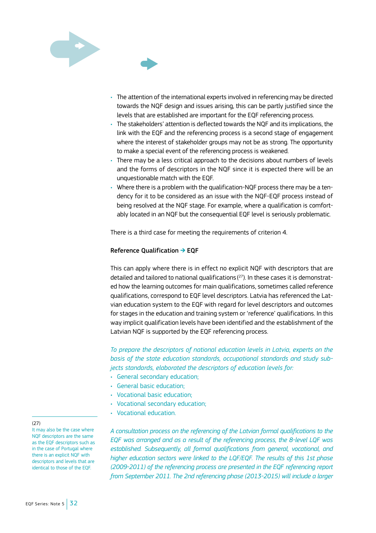

- The attention of the international experts involved in referencing may be directed towards the NQF design and issues arising, this can be partly justified since the levels that are established are important for the EQF referencing process.
- The stakeholders' attention is deflected towards the NQF and its implications, the link with the EQF and the referencing process is a second stage of engagement where the interest of stakeholder groups may not be as strong. The opportunity to make a special event of the referencing process is weakened.
- There may be a less critical approach to the decisions about numbers of levels and the forms of descriptors in the NQF since it is expected there will be an unquestionable match with the EQF.
- Where there is a problem with the qualification-NQF process there may be a tendency for it to be considered as an issue with the NQF-EQF process instead of being resolved at the NQF stage. For example, where a qualification is comfortably located in an NQF but the consequential EQF level is seriously problematic.

There is a third case for meeting the requirements of criterion 4.

#### Reference Qualification ➔ EQF

This can apply where there is in effect no explicit NQF with descriptors that are detailed and tailored to national qualifications( 27). In these cases it is demonstrated how the learning outcomes for main qualifications, sometimes called reference qualifications, correspond to EQF level descriptors. Latvia has referenced the Latvian education system to the EQF with regard for level descriptors and outcomes for stages in the education and training system or 'reference' qualifications. In this way implicit qualification levels have been identified and the establishment of the Latvian NQF is supported by the EQF referencing process.

*To prepare the descriptors of national education levels in Latvia, experts on the basis of the state education standards, occupational standards and study subjects standards, elaborated the descriptors of education levels for:*

- General secondary education;
- General basic education;
- Vocational basic education;
- Vocational secondary education;
- Vocational education.

*A consultation process on the referencing of the Latvian formal qualifications to the EQF was arranged and as a result of the referencing process, the 8-level LQF was established. Subsequently, all formal qualifications from general, vocational, and higher education sectors were linked to the LQF/EQF. The results of this 1st phase (2009-2011) of the referencing process are presented in the EQF referencing report from September 2011. The 2nd referencing phase (2013-2015) will include a larger* 

#### (27)

It may also be the case where NQF descriptors are the same as the EQF descriptors such as in the case of Portugal where there is an explicit NQF with descriptors and levels that are identical to those of the EQF.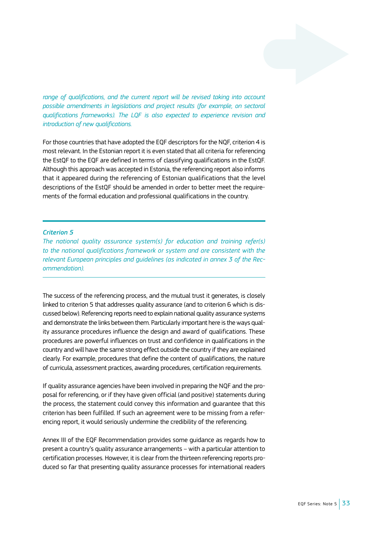range of qualifications, and the current report will be revised taking into account *possible amendments in legislations and project results (for example, on sectoral qualifications frameworks). The LQF is also expected to experience revision and introduction of new qualifications.*

For those countries that have adopted the EQF descriptors for the NQF, criterion 4 is most relevant. In the Estonian report it is even stated that all criteria for referencing the EstQF to the EQF are defined in terms of classifying qualifications in the EstQF. Although this approach was accepted in Estonia, the referencing report also informs that it appeared during the referencing of Estonian qualifications that the level descriptions of the EstQF should be amended in order to better meet the requirements of the formal education and professional qualifications in the country.

#### *Criterion 5*

*The national quality assurance system(s) for education and training refer(s) to the national qualifications framework or system and are consistent with the relevant European principles and guidelines (as indicated in annex 3 of the Recommendation).*

The success of the referencing process, and the mutual trust it generates, is closely linked to criterion 5 that addresses quality assurance (and to criterion 6 which is discussed below). Referencing reports need to explain national quality assurance systems and demonstrate the links between them. Particularly important here is the ways quality assurance procedures influence the design and award of qualifications. These procedures are powerful influences on trust and confidence in qualifications in the country and will have the same strong effect outside the country if they are explained clearly. For example, procedures that define the content of qualifications, the nature of curricula, assessment practices, awarding procedures, certification requirements.

If quality assurance agencies have been involved in preparing the NQF and the proposal for referencing, or if they have given official (and positive) statements during the process, the statement could convey this information and guarantee that this criterion has been fulfilled. If such an agreement were to be missing from a referencing report, it would seriously undermine the credibility of the referencing.

Annex III of the EQF Recommendation provides some guidance as regards how to present a country's quality assurance arrangements – with a particular attention to certification processes. However, it is clear from the thirteen referencing reports produced so far that presenting quality assurance processes for international readers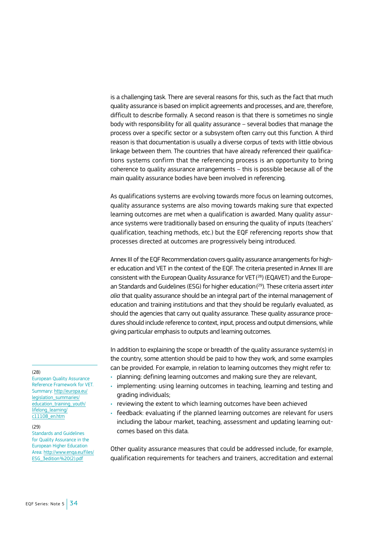is a challenging task. There are several reasons for this, such as the fact that much quality assurance is based on implicit agreements and processes, and are, therefore, difficult to describe formally. A second reason is that there is sometimes no single body with responsibility for all quality assurance – several bodies that manage the process over a specific sector or a subsystem often carry out this function. A third reason is that documentation is usually a diverse corpus of texts with little obvious linkage between them. The countries that have already referenced their qualifications systems confirm that the referencing process is an opportunity to bring coherence to quality assurance arrangements – this is possible because all of the main quality assurance bodies have been involved in referencing.

As qualifications systems are evolving towards more focus on learning outcomes, quality assurance systems are also moving towards making sure that expected learning outcomes are met when a qualification is awarded. Many quality assurance systems were traditionally based on ensuring the quality of inputs (teachers' qualification, teaching methods, etc.) but the EQF referencing reports show that processes directed at outcomes are progressively being introduced.

Annex III of the EQF Recommendation covers quality assurance arrangements for higher education and VET in the context of the EQF. The criteria presented in Annex III are consistent with the European Quality Assurance for VET( 28) (EQAVET) and the European Standards and Guidelines (ESG) for higher education( 29). These criteria assert *inter alia* that quality assurance should be an integral part of the internal management of education and training institutions and that they should be regularly evaluated, as should the agencies that carry out quality assurance. These quality assurance procedures should include reference to context, input, process and output dimensions, while giving particular emphasis to outputs and learning outcomes.

In addition to explaining the scope or breadth of the quality assurance system(s) in the country, some attention should be paid to how they work, and some examples can be provided. For example, in relation to learning outcomes they might refer to:

- planning: defining learning outcomes and making sure they are relevant,
- implementing: using learning outcomes in teaching, learning and testing and grading individuals;
- reviewing the extent to which learning outcomes have been achieved
- feedback: evaluating if the planned learning outcomes are relevant for users including the labour market, teaching, assessment and updating learning outcomes based on this data.

Other quality assurance measures that could be addressed include, for example, qualification requirements for teachers and trainers, accreditation and external

#### (28)

European Quality Assurance Reference Framework for VET. Summary: [http://europa.eu/](http://europa.eu/legislation_summaries/education_training_youth/lifelong_learning/c11108_en.htm) [legislation\\_summaries/](http://europa.eu/legislation_summaries/education_training_youth/lifelong_learning/c11108_en.htm) [education\\_training\\_youth/](http://europa.eu/legislation_summaries/education_training_youth/lifelong_learning/c11108_en.htm) [lifelong\\_learning/](http://europa.eu/legislation_summaries/education_training_youth/lifelong_learning/c11108_en.htm)  $c11108$  en.htm

#### (29)

Standards and Guidelines for Quality Assurance in the European Higher Education Area: [http://www.enqa.eu/files/](http://www.enqa.eu/pubs_esg.lasso) [ESG\\_3edition%20\(2\).pdf](http://www.enqa.eu/pubs_esg.lasso)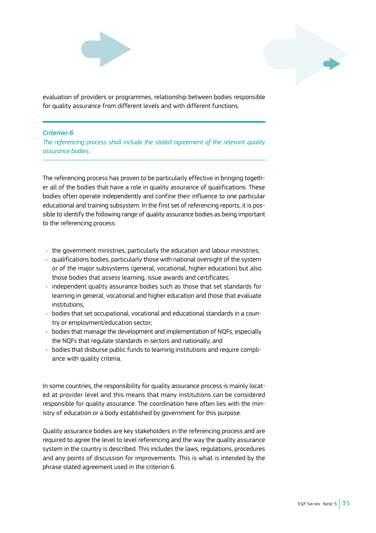



evaluation of providers or programmes, relationship between bodies responsible for quality assurance from different levels and with different functions.

# *Criterion 6*

*The referencing process shall include the stated agreement of the relevant quality assurance bodies.*

The referencing process has proven to be particularly effective in bringing together all of the bodies that have a role in quality assurance of qualifications. These bodies often operate independently and confine their influence to one particular educational and training subsystem. In the first set of referencing reports, it is possible to identify the following range of quality assurance bodies as being important to the referencing process:

- the government ministries, particularly the education and labour ministries;
- qualifications bodies, particularly those with national oversight of the system or of the major subsystems (general, vocational, higher education) but also those bodies that assess learning, issue awards and certificates;
- independent quality assurance bodies such as those that set standards for learning in general, vocational and higher education and those that evaluate institutions;
- bodies that set occupational, vocational and educational standards in a country or employment/education sector;
- bodies that manage the development and implementation of NQFs, especially the NQFs that regulate standards in sectors and nationally; and
- bodies that disburse public funds to learning institutions and require compliance with quality criteria.

In some countries, the responsibility for quality assurance process is mainly located at provider level and this means that many institutions can be considered responsible for quality assurance. The coordination here often lies with the ministry of education or a body established by government for this purpose.

Quality assurance bodies are key stakeholders in the referencing process and are required to agree the level to level referencing and the way the quality assurance system in the country is described. This includes the laws, regulations, procedures and any points of discussion for improvements. This is what is intended by the phrase stated agreement used in the criterion 6.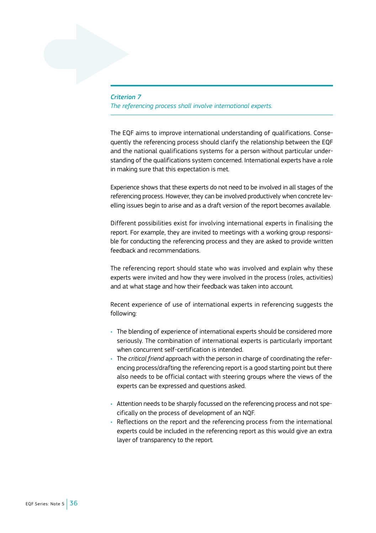# *Criterion 7 The referencing process shall involve international experts.*

The EQF aims to improve international understanding of qualifications. Consequently the referencing process should clarify the relationship between the EQF and the national qualifications systems for a person without particular understanding of the qualifications system concerned. International experts have a role in making sure that this expectation is met.

Experience shows that these experts do not need to be involved in all stages of the referencing process. However, they can be involved productively when concrete levelling issues begin to arise and as a draft version of the report becomes available.

Different possibilities exist for involving international experts in finalising the report. For example, they are invited to meetings with a working group responsible for conducting the referencing process and they are asked to provide written feedback and recommendations.

The referencing report should state who was involved and explain why these experts were invited and how they were involved in the process (roles, activities) and at what stage and how their feedback was taken into account.

Recent experience of use of international experts in referencing suggests the following:

- The blending of experience of international experts should be considered more seriously. The combination of international experts is particularly important when concurrent self-certification is intended.
- The *critical friend* approach with the person in charge of coordinating the referencing process/drafting the referencing report is a good starting point but there also needs to be official contact with steering groups where the views of the experts can be expressed and questions asked.
- Attention needs to be sharply focussed on the referencing process and not specifically on the process of development of an NQF.
- Reflections on the report and the referencing process from the international experts could be included in the referencing report as this would give an extra layer of transparency to the report.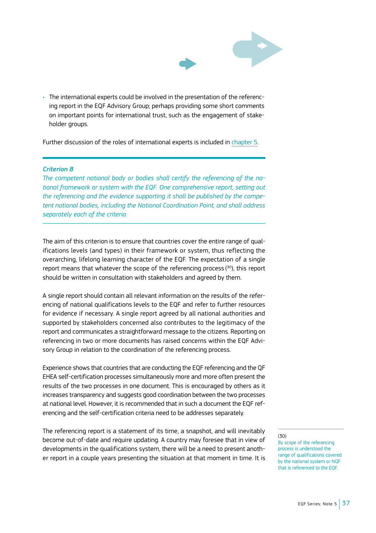

• The international experts could be involved in the presentation of the referencing report in the EQF Advisory Group; perhaps providing some short comments on important points for international trust, such as the engagement of stakeholder groups.

Further discussion of the roles of international experts is included in [chapter 5.](#page-42-0)

#### *Criterion 8*

*The competent national body or bodies shall certify the referencing of the national framework or system with the EQF. One comprehensive report, setting out the referencing and the evidence supporting it shall be published by the competent national bodies, including the National Coordination Point, and shall address separately each of the criteria.*

The aim of this criterion is to ensure that countries cover the entire range of qualifications levels (and types) in their framework or system, thus reflecting the overarching, lifelong learning character of the EQF. The expectation of a single report means that whatever the scope of the referencing process ( 30), this report should be written in consultation with stakeholders and agreed by them.

A single report should contain all relevant information on the results of the referencing of national qualifications levels to the EQF and refer to further resources for evidence if necessary. A single report agreed by all national authorities and supported by stakeholders concerned also contributes to the legitimacy of the report and communicates a straightforward message to the citizens. Reporting on referencing in two or more documents has raised concerns within the EQF Advisory Group in relation to the coordination of the referencing process.

Experience shows that countries that are conducting the EQF referencing and the QF EHEA self-certification processes simultaneously more and more often present the results of the two processes in one document. This is encouraged by others as it increases transparency and suggests good coordination between the two processes at national level. However, it is recommended that in such a document the EQF referencing and the self-certification criteria need to be addresses separately.

The referencing report is a statement of its time, a snapshot, and will inevitably become out-of-date and require updating. A country may foresee that in view of developments in the qualifications system, there will be a need to present another report in a couple years presenting the situation at that moment in time. It is

 $(30)$ 

By scope of the referencing process is understood the range of qualifications covered by the national system or NQF that is referenced to the EQF.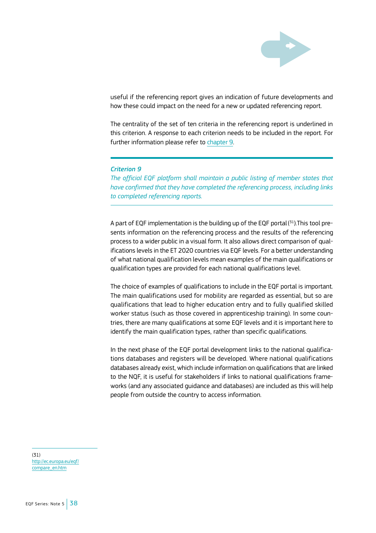

useful if the referencing report gives an indication of future developments and how these could impact on the need for a new or updated referencing report.

The centrality of the set of ten criteria in the referencing report is underlined in this criterion. A response to each criterion needs to be included in the report. For further information please refer to [chapter 9](#page-67-0).

#### *Criterion 9*

*The official EQF platform shall maintain a public listing of member states that have confirmed that they have completed the referencing process, including links to completed referencing reports.*

A part of EQF implementation is the building up of the EQF portal( 31).This tool presents information on the referencing process and the results of the referencing process to a wider public in a visual form. It also allows direct comparison of qualifications levels in the ET 2020 countries via EQF levels. For a better understanding of what national qualification levels mean examples of the main qualifications or qualification types are provided for each national qualifications level.

The choice of examples of qualifications to include in the EQF portal is important. The main qualifications used for mobility are regarded as essential, but so are qualifications that lead to higher education entry and to fully qualified skilled worker status (such as those covered in apprenticeship training). In some countries, there are many qualifications at some EQF levels and it is important here to identify the main qualification types, rather than specific qualifications.

In the next phase of the EQF portal development links to the national qualifications databases and registers will be developed. Where national qualifications databases already exist, which include information on qualifications that are linked to the NQF, it is useful for stakeholders if links to national qualifications frameworks (and any associated guidance and databases) are included as this will help people from outside the country to access information.

(31) [http://ec.europa.eu/eqf/](http://ec.europa.eu/eqf/compare_en.htm) [compare\\_en.htm](http://ec.europa.eu/eqf/compare_en.htm)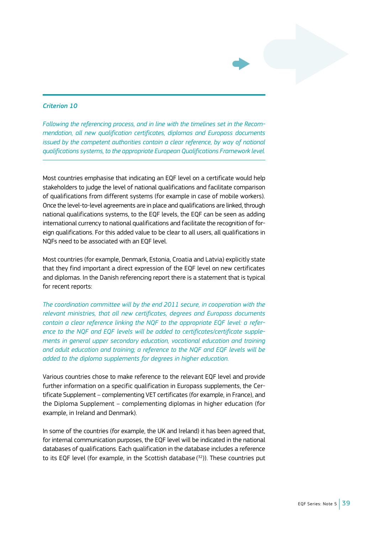#### *Criterion 10*

*Following the referencing process, and in line with the timelines set in the Recommendation, all new qualification certificates, diplomas and Europass documents issued by the competent authorities contain a clear reference, by way of national qualifications systems, to the appropriate European Qualifications Framework level.*

Most countries emphasise that indicating an EQF level on a certificate would help stakeholders to judge the level of national qualifications and facilitate comparison of qualifications from different systems (for example in case of mobile workers). Once the level-to-level agreements are in place and qualifications are linked, through national qualifications systems, to the EQF levels, the EQF can be seen as adding international currency to national qualifications and facilitate the recognition of foreign qualifications. For this added value to be clear to all users, all qualifications in NQFs need to be associated with an EQF level.

Most countries (for example, Denmark, Estonia, Croatia and Latvia) explicitly state that they find important a direct expression of the EQF level on new certificates and diplomas. In the Danish referencing report there is a statement that is typical for recent reports:

*The coordination committee will by the end 2011 secure, in cooperation with the relevant ministries, that all new certificates, degrees and Europass documents contain a clear reference linking the NQF to the appropriate EQF level: a reference to the NQF and EQF levels will be added to certificates/certificate supplements in general upper secondary education, vocational education and training and adult education and training; a reference to the NQF and EQF levels will be added to the diploma supplements for degrees in higher education.*

Various countries chose to make reference to the relevant EQF level and provide further information on a specific qualification in Europass supplements, the Certificate Supplement – complementing VET certificates (for example, in France), and the Diploma Supplement – complementing diplomas in higher education (for example, in Ireland and Denmark).

In some of the countries (for example, the UK and Ireland) it has been agreed that, for internal communication purposes, the EQF level will be indicated in the national databases of qualifications. Each qualification in the database includes a reference to its EQF level (for example, in the Scottish database ( 32)). These countries put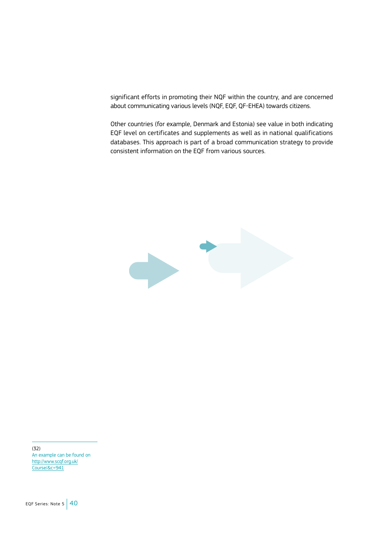significant efforts in promoting their NQF within the country, and are concerned about communicating various levels (NQF, EQF, QF-EHEA) towards citizens.

Other countries (for example, Denmark and Estonia) see value in both indicating EQF level on certificates and supplements as well as in national qualifications databases. This approach is part of a broad communication strategy to provide consistent information on the EQF from various sources.



(32) An example can be found on [http://www.scqf.org.uk/](http://www.scqf.org.uk/Course/&c=941) [Course/&c=941](http://www.scqf.org.uk/Course/&c=941)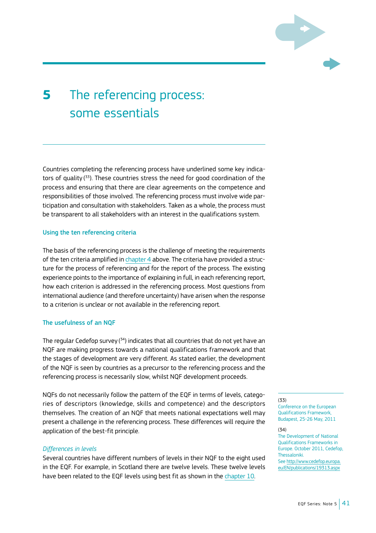

# <span id="page-42-0"></span>**5** The referencing process: some essentials

Countries completing the referencing process have underlined some key indicators of quality ( 33). These countries stress the need for good coordination of the process and ensuring that there are clear agreements on the competence and responsibilities of those involved. The referencing process must involve wide participation and consultation with stakeholders. Taken as a whole, the process must be transparent to all stakeholders with an interest in the qualifications system.

#### Using the ten referencing criteria

The basis of the referencing process is the challenge of meeting the requirements of the ten criteria amplified in [chapter 4](#page-23-0) above. The criteria have provided a structure for the process of referencing and for the report of the process. The existing experience points to the importance of explaining in full, in each referencing report, how each criterion is addressed in the referencing process. Most questions from international audience (and therefore uncertainty) have arisen when the response to a criterion is unclear or not available in the referencing report.

#### The usefulness of an NQF

The regular Cedefop survey (<sup>34</sup>) indicates that all countries that do not yet have an NQF are making progress towards a national qualifications framework and that the stages of development are very different. As stated earlier, the development of the NQF is seen by countries as a precursor to the referencing process and the referencing process is necessarily slow, whilst NQF development proceeds.

NQFs do not necessarily follow the pattern of the EQF in terms of levels, categories of descriptors (knowledge, skills and competence) and the descriptors themselves. The creation of an NQF that meets national expectations well may present a challenge in the referencing process. These differences will require the application of the best-fit principle.

### *Differences in levels*

Several countries have different numbers of levels in their NQF to the eight used in the EQF. For example, in Scotland there are twelve levels. These twelve levels have been related to the EQF levels using best fit as shown in the [chapter](#page-71-0) 10.

(33) Conference on the European Qualifications Framework, Budapest, 25-26 May, 2011

(34)

The Development of National Qualifications Frameworks in Europe. October 2011, Cedefop, Thessaloniki. See [http://www.cedefop.europa.](http://www.cedefop.europa.eu/EN/publications/19313.aspx)

[eu/EN/publications/19313.aspx](http://www.cedefop.europa.eu/EN/publications/19313.aspx)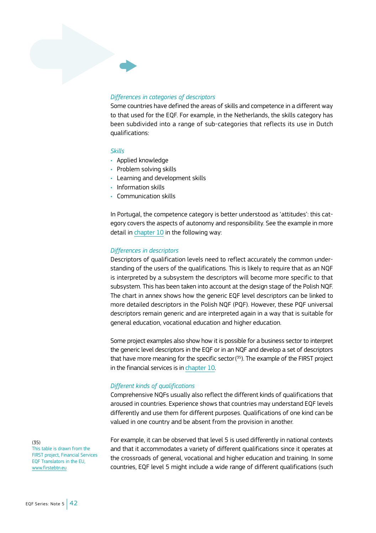# *Differences in categories of descriptors*

Some countries have defined the areas of skills and competence in a different way to that used for the EQF. For example, in the Netherlands, the skills category has been subdivided into a range of sub-categories that reflects its use in Dutch qualifications:

#### *Skills*

- Applied knowledge
- Problem solving skills
- Learning and development skills
- Information skills
- Communication skills

In Portugal, the competence category is better understood as 'attitudes': this category covers the aspects of autonomy and responsibility. See the example in more detail in [chapter](#page-72-0) 10 in the following way:

#### *Differences in descriptors*

Descriptors of qualification levels need to reflect accurately the common understanding of the users of the qualifications. This is likely to require that as an NQF is interpreted by a subsystem the descriptors will become more specific to that subsystem. This has been taken into account at the design stage of the Polish NQF. The chart in annex shows how the generic EQF level descriptors can be linked to more detailed descriptors in the Polish NQF (PQF). However, these PQF universal descriptors remain generic and are interpreted again in a way that is suitable for general education, vocational education and higher education.

Some project examples also show how it is possible for a business sector to interpret the generic level descriptors in the EQF or in an NQF and develop a set of descriptors that have more meaning for the specific sector( 35). The example of the FIRST project in the financial services is in [chapter 10](#page-77-0).

#### *Different kinds of qualifications*

Comprehensive NQFs usually also reflect the different kinds of qualifications that aroused in countries. Experience shows that countries may understand EQF levels differently and use them for different purposes. Qualifications of one kind can be valued in one country and be absent from the provision in another.

(35) This table is drawn from the FIRST project, Financial Services EQF Translators in the EU, [www.firstebtn.eu](http://www.firstebtn.eu)

For example, it can be observed that level 5 is used differently in national contexts and that it accommodates a variety of different qualifications since it operates at the crossroads of general, vocational and higher education and training. In some countries, EQF level 5 might include a wide range of different qualifications (such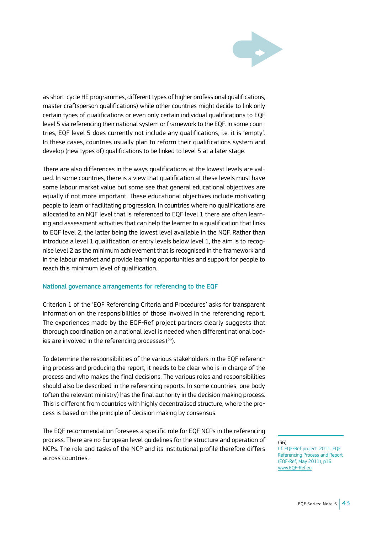

as short-cycle HE programmes, different types of higher professional qualifications, master craftsperson qualifications) while other countries might decide to link only certain types of qualifications or even only certain individual qualifications to EQF level 5 via referencing their national system or framework to the EQF. In some countries, EQF level 5 does currently not include any qualifications, i.e. it is 'empty'. In these cases, countries usually plan to reform their qualifications system and develop (new types of) qualifications to be linked to level 5 at a later stage.

There are also differences in the ways qualifications at the lowest levels are valued. In some countries, there is a view that qualification at these levels must have some labour market value but some see that general educational objectives are equally if not more important. These educational objectives include motivating people to learn or facilitating progression. In countries where no qualifications are allocated to an NQF level that is referenced to EQF level 1 there are often learning and assessment activities that can help the learner to a qualification that links to EQF level 2, the latter being the lowest level available in the NQF. Rather than introduce a level 1 qualification, or entry levels below level 1, the aim is to recognise level 2 as the minimum achievement that is recognised in the framework and in the labour market and provide learning opportunities and support for people to reach this minimum level of qualification.

#### National governance arrangements for referencing to the EQF

Criterion 1 of the 'EQF Referencing Criteria and Procedures' asks for transparent information on the responsibilities of those involved in the referencing report. The experiences made by the EQF-Ref project partners clearly suggests that thorough coordination on a national level is needed when different national bodies are involved in the referencing processes ( 36).

To determine the responsibilities of the various stakeholders in the EQF referencing process and producing the report, it needs to be clear who is in charge of the process and who makes the final decisions. The various roles and responsibilities should also be described in the referencing reports. In some countries, one body (often the relevant ministry) has the final authority in the decision making process. This is different from countries with highly decentralised structure, where the process is based on the principle of decision making by consensus.

The EQF recommendation foresees a specific role for EQF NCPs in the referencing process. There are no European level guidelines for the structure and operation of NCPs. The role and tasks of the NCP and its institutional profile therefore differs across countries.

#### (36)

Cf. EQF-Ref project. 2011. EQF Referencing Process and Report (EQF-Ref, May 2011), p16. [www.EQF-Ref.eu](http://www.firstebtn.eu/)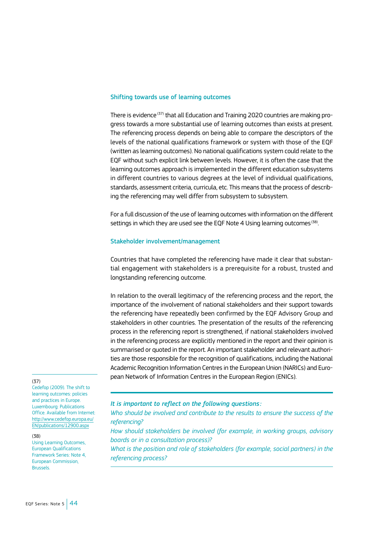#### Shifting towards use of learning outcomes

There is evidence<sup>(37)</sup> that all Education and Training 2020 countries are making progress towards a more substantial use of learning outcomes than exists at present. The referencing process depends on being able to compare the descriptors of the levels of the national qualifications framework or system with those of the EQF (written as learning outcomes). No national qualifications system could relate to the EQF without such explicit link between levels. However, it is often the case that the learning outcomes approach is implemented in the different education subsystems in different countries to various degrees at the level of individual qualifications, standards, assessment criteria, curricula, etc. This means that the process of describing the referencing may well differ from subsystem to subsystem.

For a full discussion of the use of learning outcomes with information on the different settings in which they are used see the EQF Note 4 Using learning outcomes<sup>(38)</sup>.

#### Stakeholder involvement/management

Countries that have completed the referencing have made it clear that substantial engagement with stakeholders is a prerequisite for a robust, trusted and longstanding referencing outcome.

In relation to the overall legitimacy of the referencing process and the report, the importance of the involvement of national stakeholders and their support towards the referencing have repeatedly been confirmed by the EQF Advisory Group and stakeholders in other countries. The presentation of the results of the referencing process in the referencing report is strengthened, if national stakeholders involved in the referencing process are explicitly mentioned in the report and their opinion is summarised or quoted in the report. An important stakeholder and relevant authorities are those responsible for the recognition of qualifications, including the National Academic Recognition Information Centres in the European Union (NARICs) and European Network of Information Centres in the European Region (ENICs).

#### (37)

Cedefop (2009). The shift to learning outcomes: policies and practices in Europe. Luxembourg: Publications Office. Available from Internet: [http://www.cedefop.europa.eu/](http://www.cedefop.europa.eu/EN/publications/12900.aspx) [EN/publications/12900.aspx](http://www.cedefop.europa.eu/EN/publications/12900.aspx)

#### (38)

Using Learning Outcomes, European Qualifications Framework Series: Note 4, European Commission, Brussels.

*It is important to reflect on the following questions:* 

*Who should be involved and contribute to the results to ensure the success of the referencing?*

*How should stakeholders be involved (for example, in working groups, advisory boards or in a consultation process)?*

*What is the position and role of stakeholders (for example, social partners) in the referencing process?*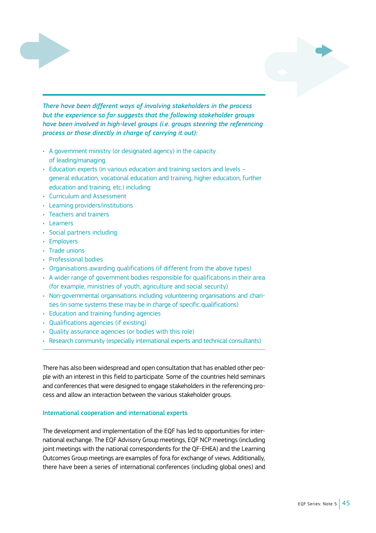

*There have been different ways of involving stakeholders in the process but the experience so far suggests that the following stakeholder groups have been involved in high-level groups (i.e. groups steering the referencing process or those directly in charge of carrying it out):*

- A government ministry (or designated agency) in the capacity of leading/managing.
- Education experts (in various education and training sectors and levels general education, vocational education and training, higher education, further education and training, etc.) including:
- Curriculum and Assessment
- Learning providers/institutions
- Teachers and trainers
- Learners
- Social partners including
- Employers
- Trade unions
- Professional bodies
- Organisations awarding qualifications (if different from the above types)
- A wider range of government bodies responsible for qualifications in their area (for example, ministries of youth, agriculture and social security)
- Non-governmental organisations including volunteering organisations and charities (in some systems these may be in charge of specific qualifications)
- Education and training funding agencies
- Qualifications agencies (if existing)
- Quality assurance agencies (or bodies with this role)
- Research community (especially international experts and technical consultants)

There has also been widespread and open consultation that has enabled other people with an interest in this field to participate. Some of the countries held seminars and conferences that were designed to engage stakeholders in the referencing process and allow an interaction between the various stakeholder groups.

### International cooperation and international experts

The development and implementation of the EQF has led to opportunities for international exchange. The EQF Advisory Group meetings, EQF NCP meetings (including joint meetings with the national correspondents for the QF-EHEA) and the Learning Outcomes Group meetings are examples of fora for exchange of views. Additionally, there have been a series of international conferences (including global ones) and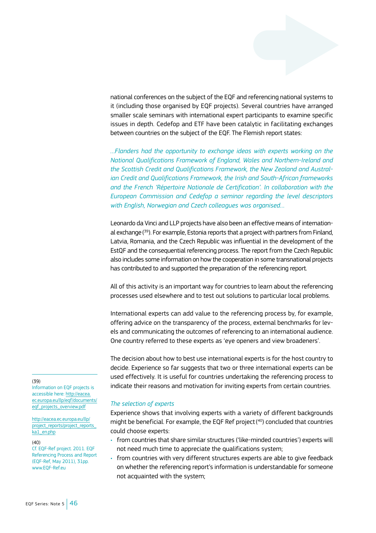national conferences on the subject of the EQF and referencing national systems to it (including those organised by EQF projects). Several countries have arranged smaller scale seminars with international expert participants to examine specific issues in depth. Cedefop and ETF have been catalytic in facilitating exchanges between countries on the subject of the EQF. The Flemish report states:

*…Flanders had the opportunity to exchange ideas with experts working on the National Qualifications Framework of England, Wales and Northern-Ireland and the Scottish Credit and Qualifications Framework, the New Zealand and Australian Credit and Qualifications Framework, the Irish and South-African frameworks and the French 'Répertoire Nationale de Certification'. In collaboration with the European Commission and Cedefop a seminar regarding the level descriptors with English, Norwegian and Czech colleagues was organised…*

Leonardo da Vinci and LLP projects have also been an effective means of international exchange( 39). For example, Estonia reports that a project with partners from Finland, Latvia, Romania, and the Czech Republic was influential in the development of the EstQF and the consequential referencing process. The report from the Czech Republic also includes some information on how the cooperation in some transnational projects has contributed to and supported the preparation of the referencing report.

All of this activity is an important way for countries to learn about the referencing processes used elsewhere and to test out solutions to particular local problems.

International experts can add value to the referencing process by, for example, offering advice on the transparency of the process, external benchmarks for levels and communicating the outcomes of referencing to an international audience. One country referred to these experts as 'eye openers and view broadeners'.

The decision about how to best use international experts is for the host country to decide. Experience so far suggests that two or three international experts can be used effectively. It is useful for countries undertaking the referencing process to indicate their reasons and motivation for inviting experts from certain countries.

#### *The selection of experts*

Experience shows that involving experts with a variety of different backgrounds might be beneficial. For example, the EQF Ref project( 40) concluded that countries could choose experts:

- from countries that share similar structures ('like-minded countries') experts will not need much time to appreciate the qualifications system;
- from countries with very different structures experts are able to give feedback on whether the referencing report's information is understandable for someone not acquainted with the system;

#### (39)

Information on EQF projects is accessible here: [http://eacea.](http://eacea.ec.europa.eu/llp/eqf/documents/eqf_projects_overview.pdf) [ec.europa.eu/llp/eqf/documents/](http://eacea.ec.europa.eu/llp/eqf/documents/eqf_projects_overview.pdf) [eqf\\_projects\\_overview.pdf](http://eacea.ec.europa.eu/llp/eqf/documents/eqf_projects_overview.pdf)

[http://eacea.ec.europa.eu/llp/](http://eacea.ec.europa.eu/llp/project_reports/project_reports_
ka1_en.php) [project\\_reports/project\\_reports\\_](http://eacea.ec.europa.eu/llp/project_reports/project_reports_
ka1_en.php) [ka1\\_en.php](http://eacea.ec.europa.eu/llp/project_reports/project_reports_
ka1_en.php)

#### (40)

Cf. EQF-Ref project. 2011. EQF Referencing Process and Report (EQF-Ref, May 2011), 31pp. www.EOF-Refer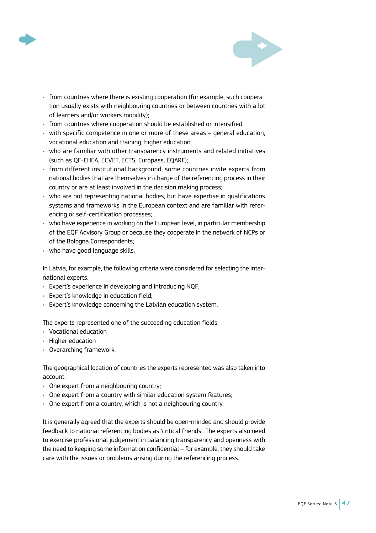



- from countries where there is existing cooperation (for example, such cooperation usually exists with neighbouring countries or between countries with a lot of learners and/or workers mobility);
- from countries where cooperation should be established or intensified.
- with specific competence in one or more of these areas general education, vocational education and training, higher education;
- who are familiar with other transparency instruments and related initiatives (such as QF-EHEA, ECVET, ECTS, Europass, EQARF);
- from different institutional background, some countries invite experts from national bodies that are themselves in charge of the referencing process in their country or are at least involved in the decision making process;
- who are not representing national bodies, but have expertise in qualifications systems and frameworks in the European context and are familiar with referencing or self-certification processes;
- who have experience in working on the European level, in particular membership of the EQF Advisory Group or because they cooperate in the network of NCPs or of the Bologna Correspondents;
- who have good language skills.

In Latvia, for example, the following criteria were considered for selecting the international experts:

- Expert's experience in developing and introducing NQF;
- Expert's knowledge in education field;
- Expert's knowledge concerning the Latvian education system.

The experts represented one of the succeeding education fields:

- Vocational education
- Higher education
- Overarching framework.

The geographical location of countries the experts represented was also taken into account:

- One expert from a neighbouring country;
- One expert from a country with similar education system features;
- One expert from a country, which is not a neighbouring country.

It is generally agreed that the experts should be open-minded and should provide feedback to national referencing bodies as 'critical friends'. The experts also need to exercise professional judgement in balancing transparency and openness with the need to keeping some information confidential – for example, they should take care with the issues or problems arising during the referencing process.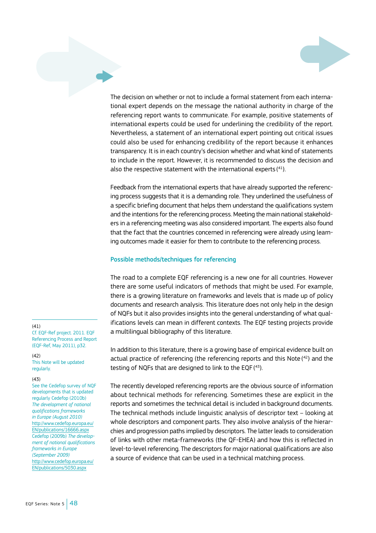

The decision on whether or not to include a formal statement from each international expert depends on the message the national authority in charge of the referencing report wants to communicate. For example, positive statements of international experts could be used for underlining the credibility of the report. Nevertheless, a statement of an international expert pointing out critical issues could also be used for enhancing credibility of the report because it enhances transparency. It is in each country's decision whether and what kind of statements to include in the report. However, it is recommended to discuss the decision and also the respective statement with the international experts ( 41).

Feedback from the international experts that have already supported the referencing process suggests that it is a demanding role. They underlined the usefulness of a specific briefing document that helps them understand the qualifications system and the intentions for the referencing process. Meeting the main national stakeholders in a referencing meeting was also considered important. The experts also found that the fact that the countries concerned in referencing were already using learning outcomes made it easier for them to contribute to the referencing process.

#### Possible methods/techniques for referencing

The road to a complete EQF referencing is a new one for all countries. However there are some useful indicators of methods that might be used. For example, there is a growing literature on frameworks and levels that is made up of policy documents and research analysis. This literature does not only help in the design of NQFs but it also provides insights into the general understanding of what qualifications levels can mean in different contexts. The EQF testing projects provide a multilingual bibliography of this literature.

In addition to this literature, there is a growing base of empirical evidence built on actual practice of referencing (the referencing reports and this Note ( 42) and the testing of NQFs that are designed to link to the EQF ( 43).

The recently developed referencing reports are the obvious source of information about technical methods for referencing. Sometimes these are explicit in the reports and sometimes the technical detail is included in background documents. The technical methods include linguistic analysis of descriptor text – looking at whole descriptors and component parts. They also involve analysis of the hierarchies and progression paths implied by descriptors. The latter leads to consideration of links with other meta-frameworks (the QF-EHEA) and how this is reflected in level-to-level referencing. The descriptors for major national qualifications are also a source of evidence that can be used in a technical matching process.

#### (41)

Cf. EQF-Ref project. 2011. EQF Referencing Process and Report (EQF-Ref, May 2011), p32.

 $(47)$ This Note will be updated regularly.

#### (43)

See the Cedefop survey of NQF developments that is updated regularly Cedefop (2010b) *The development of national qualifications frameworks in Europe (August 2010)*  [http://www.cedefop.europa.eu/](http://www.cedefop.europa.eu/EN/publications/16666.aspx) [EN/publications/16666.aspx](http://www.cedefop.europa.eu/EN/publications/16666.aspx) Cedefop (2009b) *The development of national qualifications frameworks in Europe (September 2009)*  [http://www.cedefop.europa.eu/](http://www.cedefop.europa.eu/EN/publications/5030.aspx) [EN/publications/5030.aspx](http://www.cedefop.europa.eu/EN/publications/5030.aspx)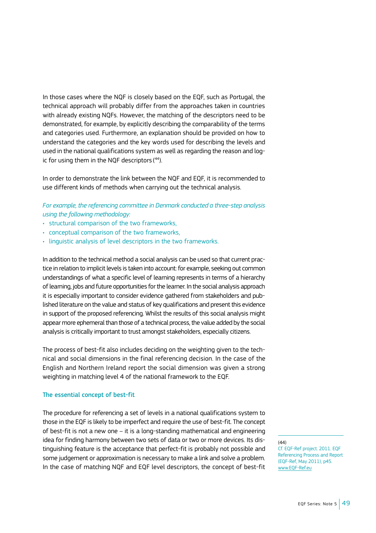In those cases where the NQF is closely based on the EQF, such as Portugal, the technical approach will probably differ from the approaches taken in countries with already existing NQFs. However, the matching of the descriptors need to be demonstrated, for example, by explicitly describing the comparability of the terms and categories used. Furthermore, an explanation should be provided on how to understand the categories and the key words used for describing the levels and used in the national qualifications system as well as regarding the reason and logic for using them in the NQF descriptors ( 44).

In order to demonstrate the link between the NQF and EQF, it is recommended to use different kinds of methods when carrying out the technical analysis.

*For example, the referencing committee in Denmark conducted a three-step analysis using the following methodology:*

- structural comparison of the two frameworks,
- conceptual comparison of the two frameworks,
- linguistic analysis of level descriptors in the two frameworks.

In addition to the technical method a social analysis can be used so that current practice in relation to implicit levels is taken into account: for example, seeking out common understandings of what a specific level of learning represents in terms of a hierarchy of learning, jobs and future opportunities for the learner. In the social analysis approach it is especially important to consider evidence gathered from stakeholders and published literature on the value and status of key qualifications and present this evidence in support of the proposed referencing. Whilst the results of this social analysis might appear more ephemeral than those of a technical process, the value added by the social analysis is critically important to trust amongst stakeholders, especially citizens.

The process of best-fit also includes deciding on the weighting given to the technical and social dimensions in the final referencing decision. In the case of the English and Northern Ireland report the social dimension was given a strong weighting in matching level 4 of the national framework to the EQF.

#### The essential concept of best-fit

The procedure for referencing a set of levels in a national qualifications system to those in the EQF is likely to be imperfect and require the use of best-fit. The concept of best-fit is not a new one – it is a long-standing mathematical and engineering idea for finding harmony between two sets of data or two or more devices. Its distinguishing feature is the acceptance that perfect-fit is probably not possible and some judgement or approximation is necessary to make a link and solve a problem. In the case of matching NQF and EQF level descriptors, the concept of best-fit

(44)

Cf. EQF-Ref project. 2011. EQF Referencing Process and Report (EQF-Ref, May 2011), p45. <www.EQF-Ref.eu>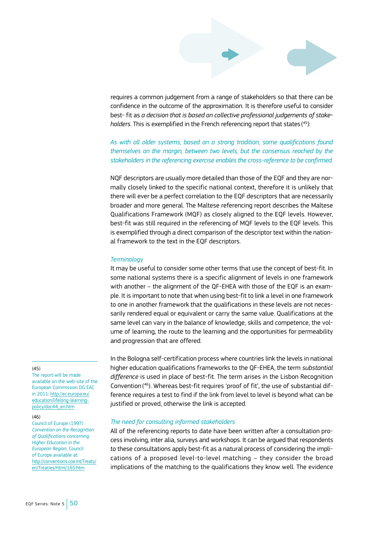

requires a common judgement from a range of stakeholders so that there can be confidence in the outcome of the approximation. It is therefore useful to consider best- fit as *a decision that is based on collective professional judgements of stakeholders*. This is exemplified in the French referencing report that states( 45):

*As with all older systems, based on a strong tradition, some qualifications found themselves on the margin, between two levels, but the consensus reached by the stakeholders in the referencing exercise enables the cross-reference to be confirmed.*

NQF descriptors are usually more detailed than those of the EQF and they are normally closely linked to the specific national context, therefore it is unlikely that there will ever be a perfect correlation to the EQF descriptors that are necessarily broader and more general. The Maltese referencing report describes the Maltese Qualifications Framework (MQF) as closely aligned to the EQF levels. However, best-fit was still required in the referencing of MQF levels to the EQF levels. This is exemplified through a direct comparison of the descriptor text within the national framework to the text in the EQF descriptors.

#### *Terminology*

It may be useful to consider some other terms that use the concept of best-fit. In some national systems there is a specific alignment of levels in one framework with another – the alignment of the QF-EHEA with those of the EQF is an example. It is important to note that when using best-fit to link a level in one framework to one in another framework that the qualifications in these levels are not necessarily rendered equal or equivalent or carry the same value. Qualifications at the same level can vary in the balance of knowledge, skills and competence, the volume of learning, the route to the learning and the opportunities for permeability and progression that are offered.

#### (45)

The report will be made available on the web-site of the European Commission DG EAC in 2011: [http://ec.europa.eu/](http://ec.europa.eu/education/lifelong-learning-policy/eqf_en.htm) [education/lifelong-learning](http://ec.europa.eu/education/lifelong-learning-policy/eqf_en.htm)[policy/doc44\\_en.htm](http://ec.europa.eu/education/lifelong-learning-policy/eqf_en.htm)

#### (46)

Council of Europe (1997) *Convention on the Recognition of Qualifications concerning Higher Education in the European Region*, Council of Europe available at: [http://conventions.coe.int/Treaty/](http://conventions.coe.int/Treaty/en/Treaties/Html/165.htm) [en/Treaties/Html/165.htm](http://conventions.coe.int/Treaty/en/Treaties/Html/165.htm)

In the Bologna self-certification process where countries link the levels in national higher education qualifications frameworks to the QF-EHEA, the term *substantial difference* is used in place of best-fit. The term arises in the Lisbon Recognition Convention( 46). Whereas best-fit requires 'proof of fit', the use of substantial difference requires a test to find if the link from level to level is beyond what can be justified or proved, otherwise the link is accepted.

#### *The need for consulting informed stakeholders*

All of the referencing reports to date have been written after a consultation process involving, inter alia, surveys and workshops. It can be argued that respondents to these consultations apply best-fit as a natural process of considering the implications of a proposed level-to-level matching – they consider the broad implications of the matching to the qualifications they know well. The evidence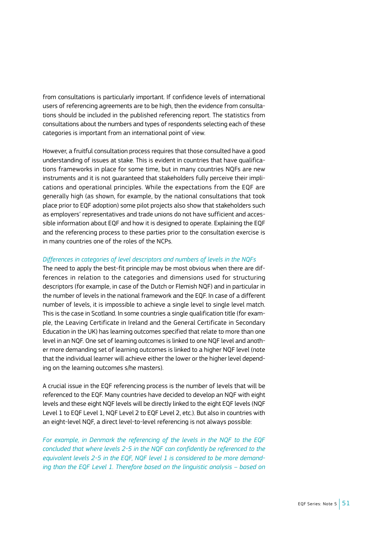from consultations is particularly important. If confidence levels of international users of referencing agreements are to be high, then the evidence from consultations should be included in the published referencing report. The statistics from consultations about the numbers and types of respondents selecting each of these categories is important from an international point of view.

However, a fruitful consultation process requires that those consulted have a good understanding of issues at stake. This is evident in countries that have qualifications frameworks in place for some time, but in many countries NQFs are new instruments and it is not guaranteed that stakeholders fully perceive their implications and operational principles. While the expectations from the EQF are generally high (as shown, for example, by the national consultations that took place prior to EQF adoption) some pilot projects also show that stakeholders such as employers' representatives and trade unions do not have sufficient and accessible information about EQF and how it is designed to operate. Explaining the EQF and the referencing process to these parties prior to the consultation exercise is in many countries one of the roles of the NCPs.

#### *Differences in categories of level descriptors and numbers of levels in the NQFs*

The need to apply the best-fit principle may be most obvious when there are differences in relation to the categories and dimensions used for structuring descriptors (for example, in case of the Dutch or Flemish NQF) and in particular in the number of levels in the national framework and the EQF. In case of a different number of levels, it is impossible to achieve a single level to single level match. This is the case in Scotland. In some countries a single qualification title (for example, the Leaving Certificate in Ireland and the General Certificate in Secondary Education in the UK) has learning outcomes specified that relate to more than one level in an NQF. One set of learning outcomes is linked to one NQF level and another more demanding set of learning outcomes is linked to a higher NQF level (note that the individual learner will achieve either the lower or the higher level depending on the learning outcomes s/he masters).

A crucial issue in the EQF referencing process is the number of levels that will be referenced to the EQF. Many countries have decided to develop an NQF with eight levels and these eight NQF levels will be directly linked to the eight EQF levels (NQF Level 1 to EQF Level 1, NQF Level 2 to EQF Level 2, etc.). But also in countries with an eight-level NQF, a direct level-to-level referencing is not always possible:

*For example, in Denmark the referencing of the levels in the NQF to the EQF concluded that where levels 2-5 in the NQF can confidently be referenced to the equivalent levels 2-5 in the EQF, NQF level 1 is considered to be more demanding than the EQF Level 1. Therefore based on the linguistic analysis – based on*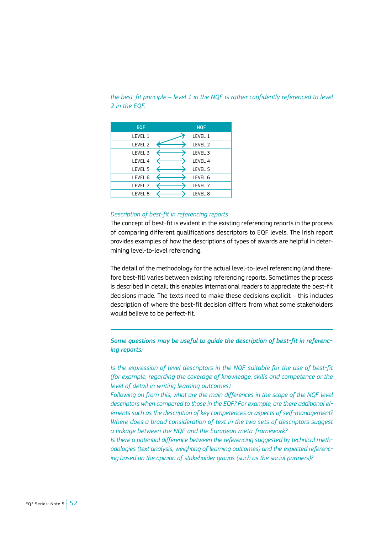# *the best-fit principle – level 1 in the NQF is rather confidently referenced to level 2 in the EQF.*

| <b>EOF</b>         | <b>NOF</b>         |
|--------------------|--------------------|
| LEVEL 1            | LEVEL 1            |
| LEVEL <sub>2</sub> | LEVEL <sub>2</sub> |
| LEVEL <sub>3</sub> | LEVEL 3            |
| LEVEL 4            | LEVEL 4            |
| LEVEL 5            | LEVEL 5            |
| LEVEL 6            | LEVEL 6            |
| LEVEL <sub>7</sub> | LEVEL 7            |
| LEVEL 8            | <b>IFVFI 8</b>     |

# *Description of best-fit in referencing reports*

The concept of best-fit is evident in the existing referencing reports in the process of comparing different qualifications descriptors to EQF levels. The Irish report provides examples of how the descriptions of types of awards are helpful in determining level-to-level referencing.

The detail of the methodology for the actual level-to-level referencing (and therefore best-fit) varies between existing referencing reports. Sometimes the process is described in detail; this enables international readers to appreciate the best-fit decisions made. The texts need to make these decisions explicit – this includes description of where the best-fit decision differs from what some stakeholders would believe to be perfect-fit.

*Some questions may be useful to guide the description of best-fit in referencing reports:*

*Is the expression of level descriptors in the NQF suitable for the use of best-fit (for example, regarding the coverage of knowledge, skills and competence or the level of detail in writing learning outcomes).*

*Following on from this, what are the main differences in the scope of the NQF level descriptors when compared to those in the EQF? For example, are there additional elements such as the description of key competences or aspects of self-management? Where does a broad consideration of text in the two sets of descriptors suggest a linkage between the NQF and the European meta-framework?*

*Is there a potential difference between the referencing suggested by technical methodologies (text analysis, weighting of learning outcomes) and the expected referencing based on the opinion of stakeholder groups (such as the social partners)?*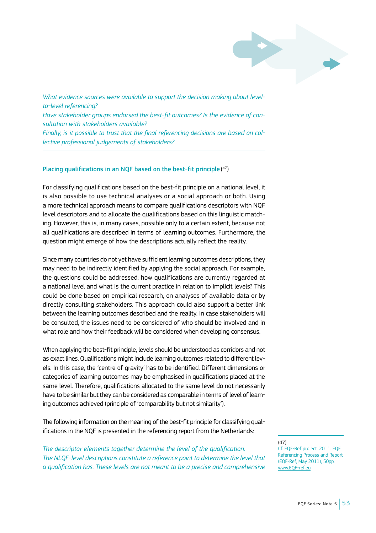

*What evidence sources were available to support the decision making about levelto-level referencing?*

*Have stakeholder groups endorsed the best-fit outcomes? Is the evidence of consultation with stakeholders available?*

*Finally, is it possible to trust that the final referencing decisions are based on collective professional judgements of stakeholders?*

#### Placing qualifications in an NQF based on the best-fit principle( 47)

For classifying qualifications based on the best-fit principle on a national level, it is also possible to use technical analyses or a social approach or both. Using a more technical approach means to compare qualifications descriptors with NQF level descriptors and to allocate the qualifications based on this linguistic matching. However, this is, in many cases, possible only to a certain extent, because not all qualifications are described in terms of learning outcomes. Furthermore, the question might emerge of how the descriptions actually reflect the reality.

Since many countries do not yet have sufficient learning outcomes descriptions, they may need to be indirectly identified by applying the social approach. For example, the questions could be addressed: how qualifications are currently regarded at a national level and what is the current practice in relation to implicit levels? This could be done based on empirical research, on analyses of available data or by directly consulting stakeholders. This approach could also support a better link between the learning outcomes described and the reality. In case stakeholders will be consulted, the issues need to be considered of who should be involved and in what role and how their feedback will be considered when developing consensus.

When applying the best-fit principle, levels should be understood as corridors and not as exact lines. Qualifications might include learning outcomes related to different levels. In this case, the 'centre of gravity' has to be identified. Different dimensions or categories of learning outcomes may be emphasised in qualifications placed at the same level. Therefore, qualifications allocated to the same level do not necessarily have to be similar but they can be considered as comparable in terms of level of learning outcomes achieved (principle of 'comparability but not similarity').

The following information on the meaning of the best-fit principle for classifying qualifications in the NQF is presented in the referencing report from the Netherlands:

*The descriptor elements together determine the level of the qualification. The NLQF-level descriptions constitute a reference point to determine the level that a qualification has. These levels are not meant to be a precise and comprehensive*  (47)

Cf. EQF-Ref project. 2011. EQF Referencing Process and Report (EQF-Ref, May 2011), 50pp. [www.EQF-ref.eu](http://www.EQF-ref.eu)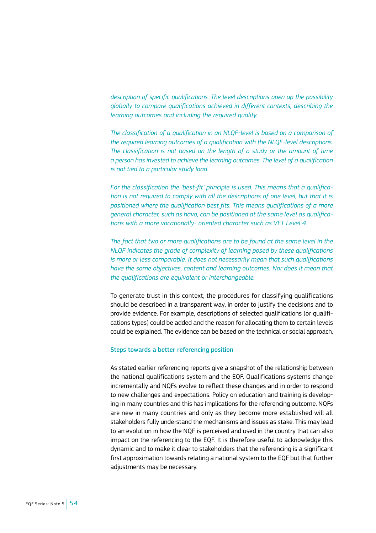*description of specific qualifications. The level descriptions open up the possibility globally to compare qualifications achieved in different contexts, describing the learning outcomes and including the required quality.*

*The classification of a qualification in an NLQF-level is based on a comparison of the required learning outcomes of a qualification with the NLQF-level descriptions. The classification is not based on the length of a study or the amount of time a person has invested to achieve the learning outcomes. The level of a qualification is not tied to a particular study load.*

*For the classification the 'best-fit' principle is used. This means that a qualification is not required to comply with all the descriptions of one level, but that it is positioned where the qualification best fits. This means qualifications of a more general character, such as havo, can be positioned at the same level as qualifications with a more vocationally- oriented character such as VET Level 4.*

*The fact that two or more qualifications are to be found at the same level in the NLQF indicates the grade of complexity of learning posed by these qualifications is more or less comparable. It does not necessarily mean that such qualifications have the same objectives, content and learning outcomes. Nor does it mean that the qualifications are equivalent or interchangeable.*

To generate trust in this context, the procedures for classifying qualifications should be described in a transparent way, in order to justify the decisions and to provide evidence. For example, descriptions of selected qualifications (or qualifications types) could be added and the reason for allocating them to certain levels could be explained. The evidence can be based on the technical or social approach.

#### Steps towards a better referencing position

As stated earlier referencing reports give a snapshot of the relationship between the national qualifications system and the EQF. Qualifications systems change incrementally and NQFs evolve to reflect these changes and in order to respond to new challenges and expectations. Policy on education and training is developing in many countries and this has implications for the referencing outcome. NQFs are new in many countries and only as they become more established will all stakeholders fully understand the mechanisms and issues as stake. This may lead to an evolution in how the NQF is perceived and used in the country that can also impact on the referencing to the EQF. It is therefore useful to acknowledge this dynamic and to make it clear to stakeholders that the referencing is a significant first approximation towards relating a national system to the EQF but that further adjustments may be necessary.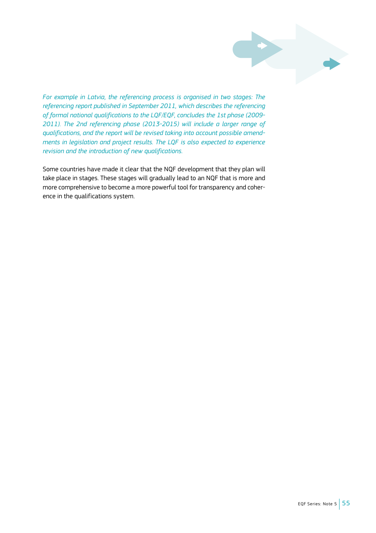

*For example in Latvia, the referencing process is organised in two stages: The referencing report published in September 2011, which describes the referencing of formal national qualifications to the LQF/EQF, concludes the 1st phase (2009- 2011). The 2nd referencing phase (2013-2015) will include a larger range of qualifications, and the report will be revised taking into account possible amendments in legislation and project results. The LQF is also expected to experience revision and the introduction of new qualifications.* 

Some countries have made it clear that the NQF development that they plan will take place in stages. These stages will gradually lead to an NQF that is more and more comprehensive to become a more powerful tool for transparency and coherence in the qualifications system.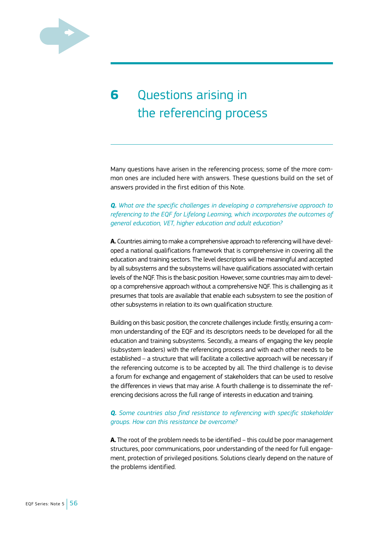

# **6** Questions arising in the referencing process

Many questions have arisen in the referencing process; some of the more common ones are included here with answers. These questions build on the set of answers provided in the first edition of this Note.

*Q. What are the specific challenges in developing a comprehensive approach to referencing to the EQF for Lifelong Learning, which incorporates the outcomes of general education, VET, higher education and adult education?*

**A.** Countries aiming to make a comprehensive approach to referencing will have developed a national qualifications framework that is comprehensive in covering all the education and training sectors. The level descriptors will be meaningful and accepted by all subsystems and the subsystems will have qualifications associated with certain levels of the NQF. This is the basic position. However, some countries may aim to develop a comprehensive approach without a comprehensive NQF. This is challenging as it presumes that tools are available that enable each subsystem to see the position of other subsystems in relation to its own qualification structure.

Building on this basic position, the concrete challenges include: firstly, ensuring a common understanding of the EQF and its descriptors needs to be developed for all the education and training subsystems. Secondly, a means of engaging the key people (subsystem leaders) with the referencing process and with each other needs to be established – a structure that will facilitate a collective approach will be necessary if the referencing outcome is to be accepted by all. The third challenge is to devise a forum for exchange and engagement of stakeholders that can be used to resolve the differences in views that may arise. A fourth challenge is to disseminate the referencing decisions across the full range of interests in education and training.

# *Q. Some countries also find resistance to referencing with specific stakeholder groups. How can this resistance be overcome?*

**A.** The root of the problem needs to be identified – this could be poor management structures, poor communications, poor understanding of the need for full engagement, protection of privileged positions. Solutions clearly depend on the nature of the problems identified.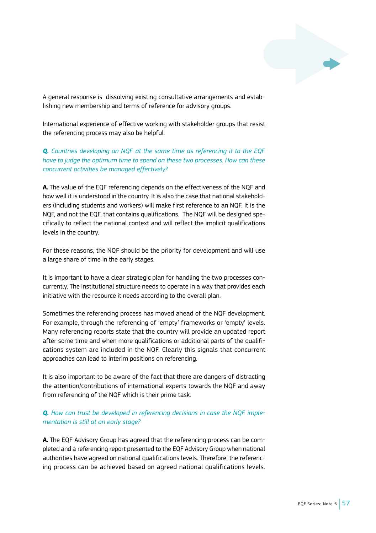

A general response is dissolving existing consultative arrangements and establishing new membership and terms of reference for advisory groups.

International experience of effective working with stakeholder groups that resist the referencing process may also be helpful.

*Q. Countries developing an NQF at the same time as referencing it to the EQF have to judge the optimum time to spend on these two processes. How can these concurrent activities be managed effectively?*

**A.** The value of the EQF referencing depends on the effectiveness of the NQF and how well it is understood in the country. It is also the case that national stakeholders (including students and workers) will make first reference to an NQF. It is the NQF, and not the EQF, that contains qualifications. The NQF will be designed specifically to reflect the national context and will reflect the implicit qualifications levels in the country.

For these reasons, the NQF should be the priority for development and will use a large share of time in the early stages.

It is important to have a clear strategic plan for handling the two processes concurrently. The institutional structure needs to operate in a way that provides each initiative with the resource it needs according to the overall plan.

Sometimes the referencing process has moved ahead of the NQF development. For example, through the referencing of 'empty' frameworks or 'empty' levels. Many referencing reports state that the country will provide an updated report after some time and when more qualifications or additional parts of the qualifications system are included in the NQF. Clearly this signals that concurrent approaches can lead to interim positions on referencing.

It is also important to be aware of the fact that there are dangers of distracting the attention/contributions of international experts towards the NQF and away from referencing of the NQF which is their prime task.

# *Q. How can trust be developed in referencing decisions in case the NQF implementation is still at an early stage?*

**A.** The EQF Advisory Group has agreed that the referencing process can be completed and a referencing report presented to the EQF Advisory Group when national authorities have agreed on national qualifications levels. Therefore, the referencing process can be achieved based on agreed national qualifications levels.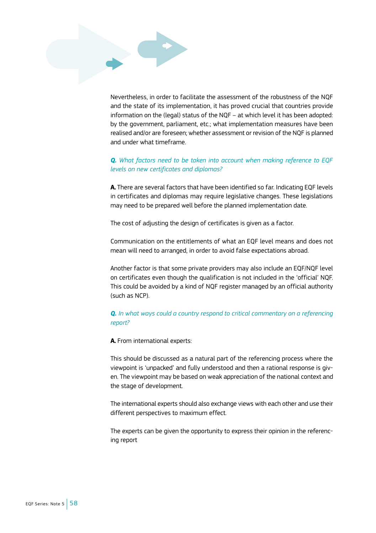Nevertheless, in order to facilitate the assessment of the robustness of the NQF and the state of its implementation, it has proved crucial that countries provide information on the (legal) status of the NQF – at which level it has been adopted: by the government, parliament, etc.; what implementation measures have been realised and/or are foreseen; whether assessment or revision of the NQF is planned and under what timeframe.

# *Q. What factors need to be taken into account when making reference to EQF levels on new certificates and diplomas?*

**A.** There are several factors that have been identified so far. Indicating EQF levels in certificates and diplomas may require legislative changes. These legislations may need to be prepared well before the planned implementation date.

The cost of adjusting the design of certificates is given as a factor.

Communication on the entitlements of what an EQF level means and does not mean will need to arranged, in order to avoid false expectations abroad.

Another factor is that some private providers may also include an EQF/NQF level on certificates even though the qualification is not included in the 'official' NQF. This could be avoided by a kind of NQF register managed by an official authority (such as NCP).

# *Q. In what ways could a country respond to critical commentary on a referencing report?*

**A.** From international experts:

This should be discussed as a natural part of the referencing process where the viewpoint is 'unpacked' and fully understood and then a rational response is given. The viewpoint may be based on weak appreciation of the national context and the stage of development.

The international experts should also exchange views with each other and use their different perspectives to maximum effect.

The experts can be given the opportunity to express their opinion in the referencing report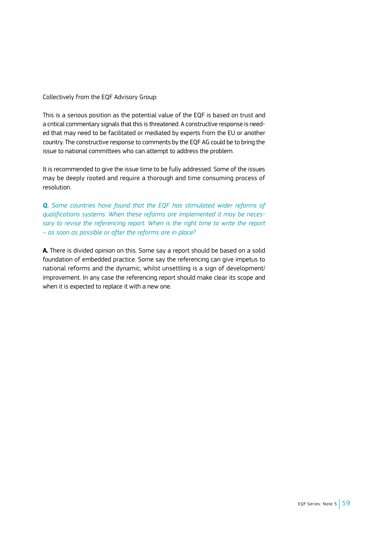Collectively from the EQF Advisory Group:

This is a serious position as the potential value of the EQF is based on trust and a critical commentary signals that this is threatened. A constructive response is needed that may need to be facilitated or mediated by experts from the EU or another country. The constructive response to comments by the EQF AG could be to bring the issue to national committees who can attempt to address the problem.

It is recommended to give the issue time to be fully addressed. Some of the issues may be deeply rooted and require a thorough and time consuming process of resolution.

*Q. Some countries have found that the EQF has stimulated wider reforms of qualifications systems. When these reforms are implemented it may be necessary to revise the referencing report. When is the right time to write the report – as soon as possible or after the reforms are in place?*

**A.** There is divided opinion on this. Some say a report should be based on a solid foundation of embedded practice. Some say the referencing can give impetus to national reforms and the dynamic, whilst unsettling is a sign of development/ improvement. In any case the referencing report should make clear its scope and when it is expected to replace it with a new one.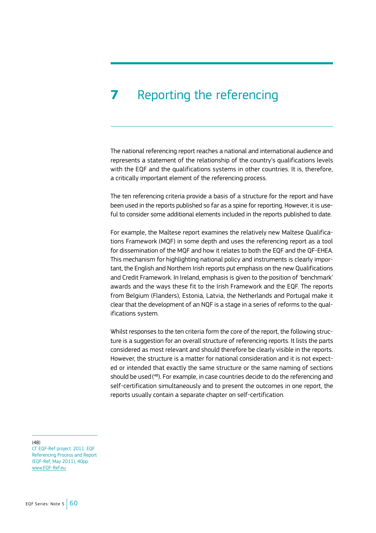# **7** Reporting the referencing

The national referencing report reaches a national and international audience and represents a statement of the relationship of the country's qualifications levels with the EQF and the qualifications systems in other countries. It is, therefore, a critically important element of the referencing process.

The ten referencing criteria provide a basis of a structure for the report and have been used in the reports published so far as a spine for reporting. However, it is useful to consider some additional elements included in the reports published to date.

For example, the Maltese report examines the relatively new Maltese Qualifications Framework (MQF) in some depth and uses the referencing report as a tool for dissemination of the MQF and how it relates to both the EQF and the QF-EHEA. This mechanism for highlighting national policy and instruments is clearly important, the English and Northern Irish reports put emphasis on the new Qualifications and Credit Framework. In Ireland, emphasis is given to the position of 'benchmark' awards and the ways these fit to the Irish Framework and the EQF. The reports from Belgium (Flanders), Estonia, Latvia, the Netherlands and Portugal make it clear that the development of an NQF is a stage in a series of reforms to the qualifications system.

Whilst responses to the ten criteria form the core of the report, the following structure is a suggestion for an overall structure of referencing reports. It lists the parts considered as most relevant and should therefore be clearly visible in the reports. However, the structure is a matter for national consideration and it is not expected or intended that exactly the same structure or the same naming of sections should be used( 48). For example, in case countries decide to do the referencing and self-certification simultaneously and to present the outcomes in one report, the reports usually contain a separate chapter on self-certification.

(48)

Cf. EQF-Ref project. 2011. EQF Referencing Process and Report (EQF-Ref, May 2011), 40pp. [www.EQF-Ref.eu](http://www.EQF-Ref.eu)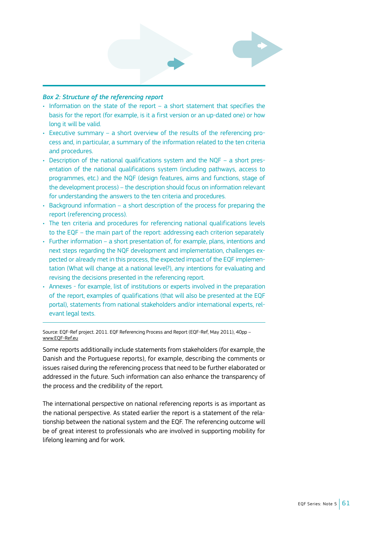

# *Box 2: Structure of the referencing report*

- Information on the state of the report a short statement that specifies the basis for the report (for example, is it a first version or an up-dated one) or how long it will be valid.
- Executive summary a short overview of the results of the referencing process and, in particular, a summary of the information related to the ten criteria and procedures.
- Description of the national qualifications system and the NQF a short presentation of the national qualifications system (including pathways, access to programmes, etc.) and the NQF (design features, aims and functions, stage of the development process) – the description should focus on information relevant for understanding the answers to the ten criteria and procedures.
- Background information a short description of the process for preparing the report (referencing process).
- The ten criteria and procedures for referencing national qualifications levels to the EQF – the main part of the report: addressing each criterion separately
- Further information a short presentation of, for example, plans, intentions and next steps regarding the NQF development and implementation, challenges expected or already met in this process, the expected impact of the EQF implementation (What will change at a national level?), any intentions for evaluating and revising the decisions presented in the referencing report.
- Annexes for example, list of institutions or experts involved in the preparation of the report, examples of qualifications (that will also be presented at the EQF portal), statements from national stakeholders and/or international experts, relevant legal texts.

Source: EQF-Ref project. 2011. EQF Referencing Process and Report (EQF-Ref, May 2011), 40pp – [www.EQF-Ref.eu](http://www.EQF-Ref.eu)

Some reports additionally include statements from stakeholders (for example, the Danish and the Portuguese reports), for example, describing the comments or issues raised during the referencing process that need to be further elaborated or addressed in the future. Such information can also enhance the transparency of the process and the credibility of the report.

The international perspective on national referencing reports is as important as the national perspective. As stated earlier the report is a statement of the relationship between the national system and the EQF. The referencing outcome will be of great interest to professionals who are involved in supporting mobility for lifelong learning and for work.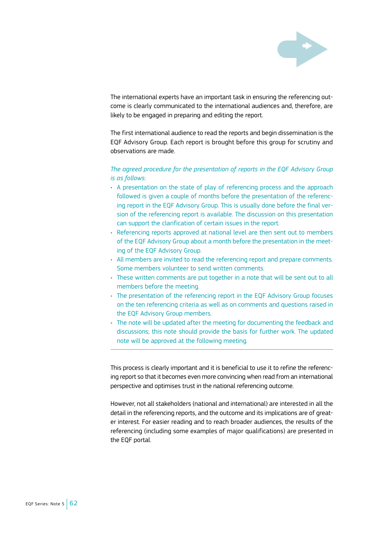

The international experts have an important task in ensuring the referencing outcome is clearly communicated to the international audiences and, therefore, are likely to be engaged in preparing and editing the report.

The first international audience to read the reports and begin dissemination is the EQF Advisory Group. Each report is brought before this group for scrutiny and observations are made.

# *The agreed procedure for the presentation of reports in the EQF Advisory Group is as follows:*

- A presentation on the state of play of referencing process and the approach followed is given a couple of months before the presentation of the referencing report in the EQF Advisory Group. This is usually done before the final version of the referencing report is available. The discussion on this presentation can support the clarification of certain issues in the report.
- Referencing reports approved at national level are then sent out to members of the EQF Advisory Group about a month before the presentation in the meeting of the EQF Advisory Group.
- All members are invited to read the referencing report and prepare comments. Some members volunteer to send written comments.
- These written comments are put together in a note that will be sent out to all members before the meeting.
- The presentation of the referencing report in the EQF Advisory Group focuses on the ten referencing criteria as well as on comments and questions raised in the EQF Advisory Group members.
- The note will be updated after the meeting for documenting the feedback and discussions; this note should provide the basis for further work. The updated note will be approved at the following meeting.

This process is clearly important and it is beneficial to use it to refine the referencing report so that it becomes even more convincing when read from an international perspective and optimises trust in the national referencing outcome.

However, not all stakeholders (national and international) are interested in all the detail in the referencing reports, and the outcome and its implications are of greater interest. For easier reading and to reach broader audiences, the results of the referencing (including some examples of major qualifications) are presented in the EQF portal.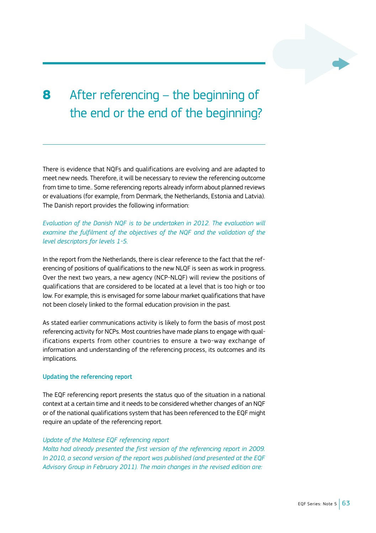# **8** After referencing – the beginning of the end or the end of the beginning?

There is evidence that NQFs and qualifications are evolving and are adapted to meet new needs. Therefore, it will be necessary to review the referencing outcome from time to time.. Some referencing reports already inform about planned reviews or evaluations (for example, from Denmark, the Netherlands, Estonia and Latvia). The Danish report provides the following information:

*Evaluation of the Danish NQF is to be undertaken in 2012. The evaluation will examine the fulfilment of the objectives of the NQF and the validation of the level descriptors for levels 1-5.*

In the report from the Netherlands, there is clear reference to the fact that the referencing of positions of qualifications to the new NLQF is seen as work in progress. Over the next two years, a new agency (NCP-NLQF) will review the positions of qualifications that are considered to be located at a level that is too high or too low. For example, this is envisaged for some labour market qualifications that have not been closely linked to the formal education provision in the past.

As stated earlier communications activity is likely to form the basis of most post referencing activity for NCPs. Most countries have made plans to engage with qualifications experts from other countries to ensure a two-way exchange of information and understanding of the referencing process, its outcomes and its implications.

### Updating the referencing report

The EQF referencing report presents the status quo of the situation in a national context at a certain time and it needs to be considered whether changes of an NQF or of the national qualifications system that has been referenced to the EQF might require an update of the referencing report.

### *Update of the Maltese EQF referencing report*

*Malta had already presented the first version of the referencing report in 2009. In 2010, a second version of the report was published (and presented at the EQF Advisory Group in February 2011). The main changes in the revised edition are:*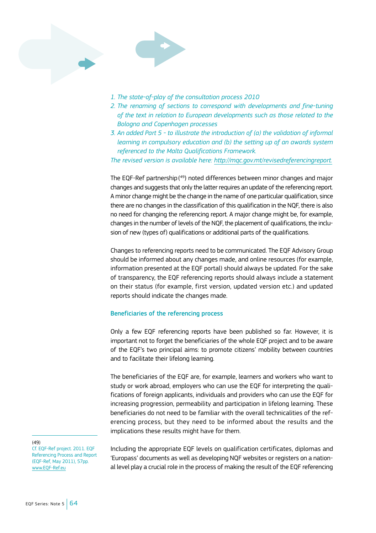

- *1. The state-of-play of the consultation process 2010*
- *2. The renaming of sections to correspond with developments and fine-tuning of the text in relation to European developments such as those related to the Bologna and Copenhagen processes*
- *3. An added Part 5 to illustrate the introduction of (a) the validation of informal learning in compulsory education and (b) the setting up of an awards system referenced to the Malta Qualifications Framework.*

*The revised version is available here: http://mqc.gov.mt/revisedreferencingreport.*

The EQF-Ref partnership( 49) noted differences between minor changes and major changes and suggests that only the latter requires an update of the referencing report. A minor change might be the change in the name of one particular qualification, since there are no changes in the classification of this qualification in the NQF, there is also no need for changing the referencing report. A major change might be, for example, changes in the number of levels of the NQF, the placement of qualifications, the inclusion of new (types of) qualifications or additional parts of the qualifications.

Changes to referencing reports need to be communicated. The EQF Advisory Group should be informed about any changes made, and online resources (for example, information presented at the EQF portal) should always be updated. For the sake of transparency, the EQF referencing reports should always include a statement on their status (for example, first version, updated version etc.) and updated reports should indicate the changes made.

# Beneficiaries of the referencing process

Only a few EQF referencing reports have been published so far. However, it is important not to forget the beneficiaries of the whole EQF project and to be aware of the EQF's two principal aims: to promote citizens' mobility between countries and to facilitate their lifelong learning.

The beneficiaries of the EQF are, for example, learners and workers who want to study or work abroad, employers who can use the EQF for interpreting the qualifications of foreign applicants, individuals and providers who can use the EQF for increasing progression, permeability and participation in lifelong learning. These beneficiaries do not need to be familiar with the overall technicalities of the referencing process, but they need to be informed about the results and the implications these results might have for them.

#### (49)

Cf. EQF-Ref project. 2011. EQF Referencing Process and Report (EQF-Ref, May 2011), 57pp. [www.EQF-Ref.eu](http://www.EQF-Ref.eu)

Including the appropriate EQF levels on qualification certificates, diplomas and 'Europass' documents as well as developing NQF websites or registers on a national level play a crucial role in the process of making the result of the EQF referencing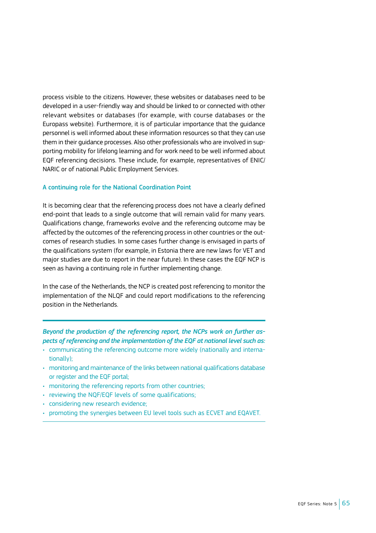process visible to the citizens. However, these websites or databases need to be developed in a user-friendly way and should be linked to or connected with other relevant websites or databases (for example, with course databases or the Europass website). Furthermore, it is of particular importance that the guidance personnel is well informed about these information resources so that they can use them in their guidance processes. Also other professionals who are involved in supporting mobility for lifelong learning and for work need to be well informed about EQF referencing decisions. These include, for example, representatives of ENIC/ NARIC or of national Public Employment Services.

#### A continuing role for the National Coordination Point

It is becoming clear that the referencing process does not have a clearly defined end-point that leads to a single outcome that will remain valid for many years. Qualifications change, frameworks evolve and the referencing outcome may be affected by the outcomes of the referencing process in other countries or the outcomes of research studies. In some cases further change is envisaged in parts of the qualifications system (for example, in Estonia there are new laws for VET and major studies are due to report in the near future). In these cases the EQF NCP is seen as having a continuing role in further implementing change.

In the case of the Netherlands, the NCP is created post referencing to monitor the implementation of the NLQF and could report modifications to the referencing position in the Netherlands.

*Beyond the production of the referencing report, the NCPs work on further aspects of referencing and the implementation of the EQF at national level such as:*

- communicating the referencing outcome more widely (nationally and internationally);
- monitoring and maintenance of the links between national qualifications database or register and the EQF portal;
- monitoring the referencing reports from other countries;
- reviewing the NQF/EQF levels of some qualifications;
- considering new research evidence;
- promoting the synergies between EU level tools such as ECVET and EQAVET.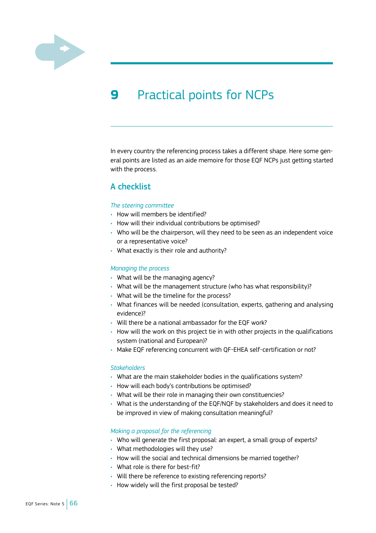<span id="page-67-0"></span>

# **9** Practical points for NCPs

In every country the referencing process takes a different shape. Here some general points are listed as an aide memoire for those EQF NCPs just getting started with the process.

# A checklist

#### *The steering committee*

- How will members be identified?
- How will their individual contributions be optimised?
- Who will be the chairperson, will they need to be seen as an independent voice or a representative voice?
- What exactly is their role and authority?

#### *Managing the process*

- What will be the managing agency?
- What will be the management structure (who has what responsibility)?
- What will be the timeline for the process?
- What finances will be needed (consultation, experts, gathering and analysing evidence)?
- Will there be a national ambassador for the EQF work?
- How will the work on this project tie in with other projects in the qualifications system (national and European)?
- Make EQF referencing concurrent with QF-EHEA self-certification or not?

#### *Stakeholders*

- What are the main stakeholder bodies in the qualifications system?
- How will each body's contributions be optimised?
- What will be their role in managing their own constituencies?
- What is the understanding of the EQF/NQF by stakeholders and does it need to be improved in view of making consultation meaningful?

# *Making a proposal for the referencing*

- Who will generate the first proposal: an expert, a small group of experts?
- What methodologies will they use?
- How will the social and technical dimensions be married together?
- What role is there for best-fit?
- Will there be reference to existing referencing reports?
- How widely will the first proposal be tested?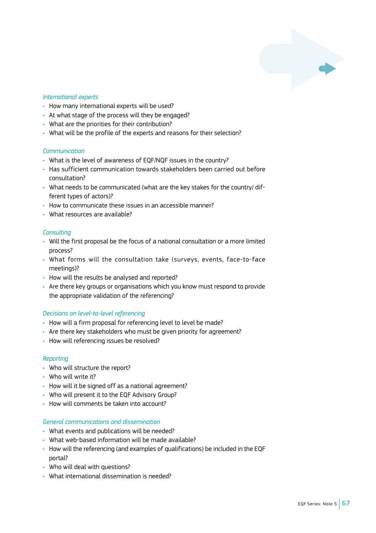# *International experts*

- How many international experts will be used?
- At what stage of the process will they be engaged?
- What are the priorities for their contribution?
- What will be the profile of the experts and reasons for their selection?

# *Communication*

- What is the level of awareness of EQF/NQF issues in the country?
- Has sufficient communication towards stakeholders been carried out before consultation?
- What needs to be communicated (what are the key stakes for the country/ different types of actors)?
- How to communicate these issues in an accessible manner?
- What resources are available?

# *Consulting*

- Will the first proposal be the focus of a national consultation or a more limited process?
- What forms will the consultation take (surveys, events, face-to-face meetings)?
- How will the results be analysed and reported?
- Are there key groups or organisations which you know must respond to provide the appropriate validation of the referencing?

# *Decisions on level-to-level referencing*

- How will a firm proposal for referencing level to level be made?
- Are there key stakeholders who must be given priority for agreement?
- How will referencing issues be resolved?

### *Reporting*

- Who will structure the report?
- Who will write it?
- How will it be signed off as a national agreement?
- Who will present it to the EQF Advisory Group?
- How will comments be taken into account?

### *General communications and dissemination*

- What events and publications will be needed?
- What web-based information will be made available?
- How will the referencing (and examples of qualifications) be included in the EQF portal?
- Who will deal with questions?
- What international dissemination is needed?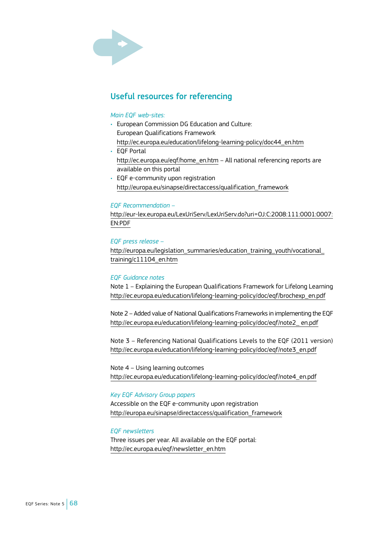

# Useful resources for referencing

#### *Main EQF web-sites:*

- European Commission DG Education and Culture: European Qualifications Framework [http://ec.europa.eu/education/lifelong-learning-policy/doc44\\_en.htm](http://ec.europa.eu/education/lifelong-learning-policy/doc44_en.htm)
- EQF Portal [http://ec.europa.eu/eqf/home\\_en.htm](http://ec.europa.eu/eqf/home_en.htm) – All national referencing reports are available on this portal
- EQF e-community upon registration [http://europa.eu/sinapse/directaccess/qualification\\_framework](http://europa.eu/sinapse/directaccess/qualification_framework)

### *EQF Recommendation –*

[http://eur-lex.europa.eu/LexUriServ/LexUriServ.do?uri=OJ:C:2008:111:0001:0007:](http://eur-lex.europa.eu/LexUriServ/LexUriServ.do?uri=OJ:C:2008:111:0001:0007:EN:PDF) [EN:PDF](http://eur-lex.europa.eu/LexUriServ/LexUriServ.do?uri=OJ:C:2008:111:0001:0007:EN:PDF)

#### *EQF press release –*

http://europa.eu/legislation\_summaries/education\_training\_youth/vocational [training/c11104\\_en.htm](http://europa.eu/legislation_summaries/education_training_youth/vocational_training/c11104_en.htm)

# *EQF Guidance notes*

Note 1 – Explaining the European Qualifications Framework for Lifelong Learning [http://ec.europa.eu/education/lifelong-learning-policy/doc/eqf/brochexp\\_en.pdf](http://ec.europa.eu/education/lifelong-learning-policy/doc/eqf/brochexp_en.pdf)

Note 2 – Added value of National Qualifications Frameworks in implementing the EQF [http://ec.europa.eu/education/lifelong-learning-policy/doc/eqf/note2\\_ en.pdf](http://ec.europa.eu/education/lifelong-learning-policy/doc/eqf/note2_ en.pdf)

Note 3 – Referencing National Qualifications Levels to the EQF (2011 version) [http://ec.europa.eu/education/lifelong-learning-policy/doc/eqf/note3\\_en.pdf](http://ec.europa.eu/education/lifelong-learning-policy/doc/eqf/note3_en.pdf)

Note 4 – Using learning outcomes [http://ec.europa.eu/education/lifelong-learning-policy/doc/eqf/note4\\_en.pdf](http://ec.europa.eu/education/lifelong-learning-policy/doc/eqf/note4_en.pdf)

#### *Key EQF Advisory Group papers*

Accessible on the EQF e-community upon registration [http://europa.eu/sinapse/directaccess/qualification\\_framework](http://europa.eu/sinapse/directaccess/qualification_framework)

# *EQF newsletters*

Three issues per year. All available on the EQF portal: [http://ec.europa.eu/eqf/newsletter\\_en.htm](http://ec.europa.eu/eqf/newsletter_en.htm)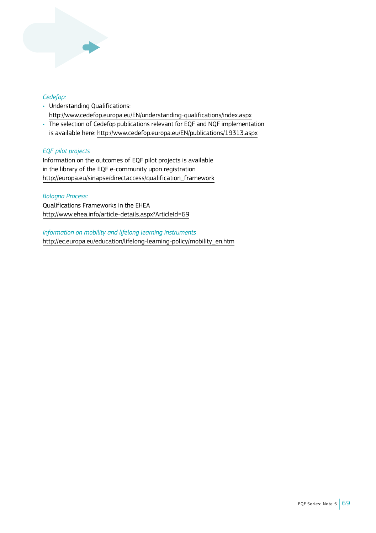

# *Cedefop:*

- Understanding Qualifications: <http://www.cedefop.europa.eu/EN/understanding-qualifications/index.aspx>
- The selection of Cedefop publications relevant for EQF and NQF implementation is available here:<http://www.cedefop.europa.eu/EN/publications/19313.aspx>

# *EQF pilot projects*

Information on the outcomes of EQF pilot projects is available in the library of the EQF e-community upon registration [http://europa.eu/sinapse/directaccess/qualification\\_framework](http://europa.eu/sinapse/directaccess/qualification_framework)

# *Bologna Process:*

Qualifications Frameworks in the EHEA <http://www.ehea.info/article-details.aspx?ArticleId=69>

*Information on mobility and lifelong learning instruments* [http://ec.europa.eu/education/lifelong-learning-policy/mobility\\_en.htm](http://ec.europa.eu/education/lifelong-learning-policy/mobility_en.htm)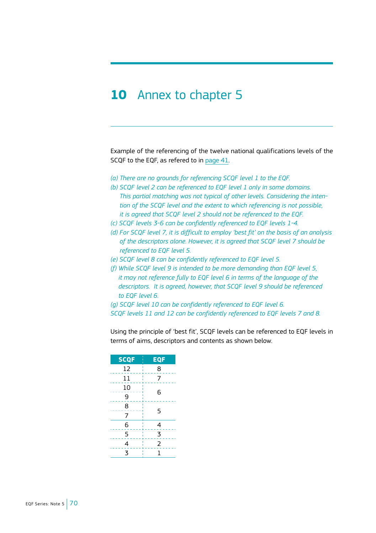# <span id="page-71-0"></span>**10** Annex to chapter 5

Example of the referencing of the twelve national qualifications levels of the SCQF to the EQF, as refered to in [page 41](#page-42-0).

- *(a) There are no grounds for referencing SCQF level 1 to the EQF.*
- *(b) SCQF level 2 can be referenced to EQF level 1 only in some domains. This partial matching was not typical of other levels. Considering the intention of the SCQF level and the extent to which referencing is not possible, it is agreed that SCQF level 2 should not be referenced to the EQF.*
- *(c) SCQF levels 3-6 can be confidently referenced to EQF levels 1-4.*
- *(d) For SCQF level 7, it is difficult to employ 'best fit' on the basis of an analysis of the descriptors alone. However, it is agreed that SCQF level 7 should be referenced to EQF level 5.*
- *(e) SCQF level 8 can be confidently referenced to EQF level 5.*
- *(f) While SCQF level 9 is intended to be more demanding than EQF level 5, it may not reference fully to EQF level 6 in terms of the language of the descriptors. It is agreed, however, that SCQF level 9 should be referenced to EQF level 6.*
- *(g) SCQF level 10 can be confidently referenced to EQF level 6. SCQF levels 11 and 12 can be confidently referenced to EQF levels 7 and 8.*

Using the principle of 'best fit', SCQF levels can be referenced to EQF levels in terms of aims, descriptors and contents as shown below.

| <b>SCQF</b>             | <b>EQF</b>     |
|-------------------------|----------------|
| 12                      | 8              |
| 11                      | 7              |
| 10                      | 6              |
| 9                       |                |
| 8                       | 5              |
| 7                       |                |
| 6                       | 4              |
| 5                       | 3              |
| $\overline{4}$          | $\overline{2}$ |
| $\overline{\mathbf{3}}$ | 1              |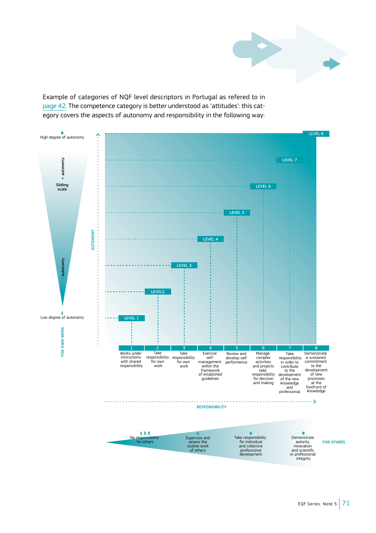

Example of categories of NQF level descriptors in Portugal as refered to in [page](#page-43-0) 42. The competence category is better understood as 'attitudes': this category covers the aspects of autonomy and responsibility in the following way:

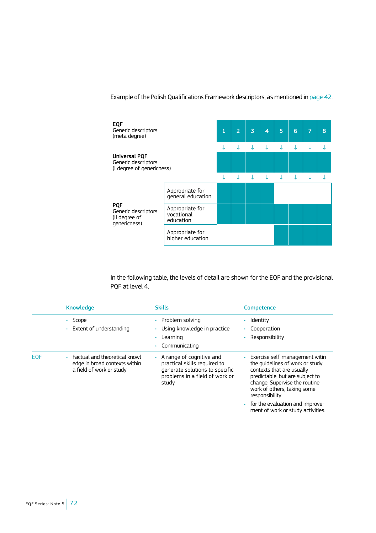Example of the Polish Qualifications Framework descriptors, as mentioned in [page 42.](#page-43-0)



In the following table, the levels of detail are shown for the EQF and the provisional PQF at level 4.

|            | <b>Knowledge</b>                                                                              | <b>Skills</b>                                                                                                                                 | <b>Competence</b>                                                                                                                                                                                                                                                                           |
|------------|-----------------------------------------------------------------------------------------------|-----------------------------------------------------------------------------------------------------------------------------------------------|---------------------------------------------------------------------------------------------------------------------------------------------------------------------------------------------------------------------------------------------------------------------------------------------|
|            | Scope<br>• Extent of understanding                                                            | • Problem solving<br>Using knowledge in practice<br>Learning<br>Communicating                                                                 | Identity<br>Cooperation<br>Responsibility                                                                                                                                                                                                                                                   |
| <b>EOF</b> | • Factual and theoretical knowl-<br>edge in broad contexts within<br>a field of work or study | $\cdot$ A range of cognitive and<br>practical skills required to<br>generate solutions to specific<br>problems in a field of work or<br>study | Exercise self-management witin<br>the quidelines of work or study<br>contexts that are usually<br>predictable, but are subject to<br>change. Supervise the routine<br>work of others, taking some<br>responsibility<br>for the evaluation and improve-<br>ment of work or study activities. |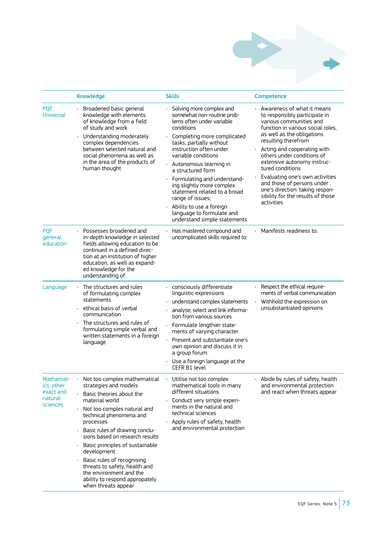

|                                                             | <b>Knowledge</b>                                                                                                                                                                                                                                                                                                                                                                                                                                           | <b>Skills</b>                                                                                                                                                                                                                                                                                                                                                                                                                                                                        | Competence                                                                                                                                                                                                                                                                                                                                                                                                                                                |
|-------------------------------------------------------------|------------------------------------------------------------------------------------------------------------------------------------------------------------------------------------------------------------------------------------------------------------------------------------------------------------------------------------------------------------------------------------------------------------------------------------------------------------|--------------------------------------------------------------------------------------------------------------------------------------------------------------------------------------------------------------------------------------------------------------------------------------------------------------------------------------------------------------------------------------------------------------------------------------------------------------------------------------|-----------------------------------------------------------------------------------------------------------------------------------------------------------------------------------------------------------------------------------------------------------------------------------------------------------------------------------------------------------------------------------------------------------------------------------------------------------|
| <b>PQF</b><br><b>Universal</b>                              | • Broadened basic general<br>knowledge with elements<br>of knowledge from a field<br>of study and work<br>• Understanding moderately<br>complex dependencies<br>between selected natural and<br>social phenomena as well as<br>in the area of the products of<br>human thought                                                                                                                                                                             | ¥.<br>Solving more complex and<br>somewhat non-routine prob-<br>lems often under variable<br>conditions<br>• Completing more complicated<br>tasks, partially without<br>instruction often under<br>variable conditions<br>• Autonomous learning in<br>a structured form<br>• Formulating and understand-<br>ing slightly more complex<br>statement related to a broad<br>range of issues;<br>• Ability to use a foreign<br>language to formulate and<br>understand simple statements | Awareness of what it means<br>to responsibly participate in<br>various communities and<br>function in various social roles.<br>as well as the obligations<br>resulting therefrom<br>• Acting and cooperating with<br>others under conditions of<br>extensive autonomy instruc-<br>tured conditions<br>Evaluating one's own activities<br>and those of persons under<br>one's direction: taking respon-<br>sibility for the results of those<br>activities |
| <b>PQF</b><br>general<br>education                          | • Possesses broadened and<br>in-depth knowledge in selected<br>fields allowing education to be<br>continued in a defined direc-<br>tion at an institution of higher<br>education, as well as expand-<br>ed knowledge for the<br>understanding of:                                                                                                                                                                                                          | Has mastered compound and<br>uncomplicated skills required to:                                                                                                                                                                                                                                                                                                                                                                                                                       | Manifests readiness to:                                                                                                                                                                                                                                                                                                                                                                                                                                   |
| Language                                                    | The structures and rules<br>of formulating complex<br>statements<br>• ethical basis of verbal<br>communication<br>• The structures and rules of<br>formulating simple verbal and<br>written statements in a foreign<br>language                                                                                                                                                                                                                            | · consciously differentiate<br>linguistic expressions<br>understand complex statements<br>analyse, select and link informa-<br>tion from various sources<br>• Formulate lengthier state-<br>ments of varying character<br>Present and substantiate one's<br>own opinion and discuss it in<br>a group forum<br>• Use a foreign language at the<br>CEFR B1 level                                                                                                                       | Respect the ethical require-<br>ments of verbal communication<br>Withhold the expression on<br>unsubstantiated opinions                                                                                                                                                                                                                                                                                                                                   |
| Mathemat-<br>ics, other<br>exact and<br>natural<br>sciences | Not too complex mathematical<br>strategies and models<br>Basic theories about the<br>material world<br>Not too complex natural and<br>technical phenomena and<br>processes<br>• Basic rules of drawing conclu-<br>sions based on research results<br>• Basic principles of sustainable<br>development<br>• Basic rules of recognising<br>threats to safety, health and<br>the environment and the<br>ability to respond appropately<br>when threats appear | Utilise not too complex<br>mathematical tools in many<br>different situations<br>Conduct very simple experi-<br>ments in the natural and<br>technical sciences<br>Apply rules of safety, health<br>and environmental protection                                                                                                                                                                                                                                                      | Abide by rules of safety, health<br>and environmental protection<br>and react when threats appear                                                                                                                                                                                                                                                                                                                                                         |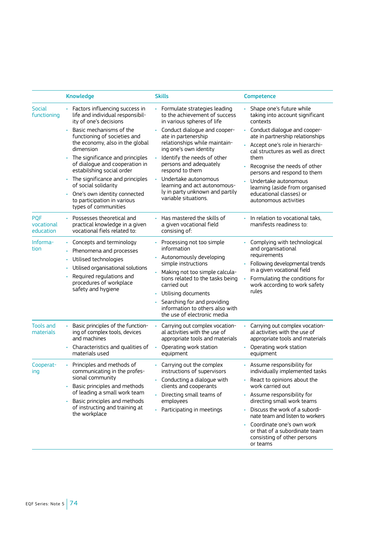|                                       | <b>Knowledge</b>                                                                                                                                                                                                                                                                                                                                                                                                                                                    | <b>Skills</b>                                                                                                                                                                                                                                                                                                                                                                                                    | <b>Competence</b>                                                                                                                                                                                                                                                                                                                                                                                           |
|---------------------------------------|---------------------------------------------------------------------------------------------------------------------------------------------------------------------------------------------------------------------------------------------------------------------------------------------------------------------------------------------------------------------------------------------------------------------------------------------------------------------|------------------------------------------------------------------------------------------------------------------------------------------------------------------------------------------------------------------------------------------------------------------------------------------------------------------------------------------------------------------------------------------------------------------|-------------------------------------------------------------------------------------------------------------------------------------------------------------------------------------------------------------------------------------------------------------------------------------------------------------------------------------------------------------------------------------------------------------|
| Social<br>functioning                 | • Factors influencing success in<br>life and individual responsibil-<br>ity of one's decisions<br>• Basic mechanisms of the<br>functioning of societies and<br>the economy, also in the global<br>dimension<br>• The significance and principles<br>of dialogue and cooperation in<br>estabilshing social order<br>The significance and principles<br>of social solidarity<br>• One's own identity connected<br>to participation in various<br>types of communities | · Formulate strategies leading<br>to the achievement of success<br>in various spheres of life<br>• Conduct dialogue and cooper-<br>ate in partenership<br>relationships while maintain-<br>ing one's own identity<br>Identify the needs of other<br>persons and adequately<br>respond to them<br>Undertake autonomous<br>learning and act autonomous-<br>ly in party unknown and partily<br>variable situations. | Shape one's future while<br>taking into account significant<br>contexts<br>• Conduct dialogue and cooper-<br>ate in partnership relationships<br>· Accept one's role in hierarchi-<br>cal structures as well as direct<br>them<br>Recognise the needs of other<br>persons and respond to them<br>Undertake autonomous<br>learning (aside from organised<br>educational classes) or<br>autonomous activities |
| <b>POF</b><br>vocational<br>education | • Possesses theoretical and<br>practical knowledge in a given<br>vocational fiels related to:                                                                                                                                                                                                                                                                                                                                                                       | • Has mastered the skills of<br>a given vocational field<br>consising of:                                                                                                                                                                                                                                                                                                                                        | • In relation to vocational taks,<br>manifests readiness to:                                                                                                                                                                                                                                                                                                                                                |
| Informa-<br>tion                      | • Concepts and terminology<br>Phenomena and processes<br>Utilised technologies<br>$\bullet$<br>Utilised organisational solutions<br>Required requlations and<br>procedures of workplace<br>safety and hygiene                                                                                                                                                                                                                                                       | • Processing not too simple<br>information<br>· Autonomously developing<br>simple instructions<br>• Making not too simple calcula-<br>tions related to the tasks being<br>carried out<br>Utilising documents<br>Searching for and providing<br>information to others also with<br>the use of electronic media                                                                                                    | Complying with technological<br>and organisational<br>requirements<br>• Following developmental trends<br>in a given vocational field<br>Formulating the conditions for<br>work according to work safety<br>rules                                                                                                                                                                                           |
| <b>Tools and</b><br>materials         | ä.<br>Basic principles of the function-<br>ing of complex tools, devices<br>and machines<br>• Characteristics and qualities of<br>materials used                                                                                                                                                                                                                                                                                                                    | Carrying out complex vocation-<br>al activities with the use of<br>appropriate tools and materials<br>Operating work station<br>equipment                                                                                                                                                                                                                                                                        | Carrying out complex vocation-<br>al activities with the use of<br>appropriate tools and materials<br>• Operating work station<br>equipment                                                                                                                                                                                                                                                                 |
| Cooperat-<br>ing                      | Principles and methods of<br>communicating in the profes-<br>sional community<br>• Basic principles and methods<br>of leading a small work team<br>Basic principles and methods<br>of instructing and training at<br>the workplace                                                                                                                                                                                                                                  | ¥.<br>Carrying out the complex<br>instructions of supervisors<br>$\cdot$ Conducting a dialogue with<br>clients and cooperants<br>• Directing small teams of<br>employees<br>Participating in meetings                                                                                                                                                                                                            | • Assume responsibility for<br>individually implemented tasks<br>React to opinions about the<br>work carried out<br>• Assume responsibility for<br>directing small work teams<br>Discuss the work of a subordi-<br>nate team and listen to workers<br>Coordinate one's own work<br>or that of a subordinate team<br>consisting of other persons<br>or teams                                                 |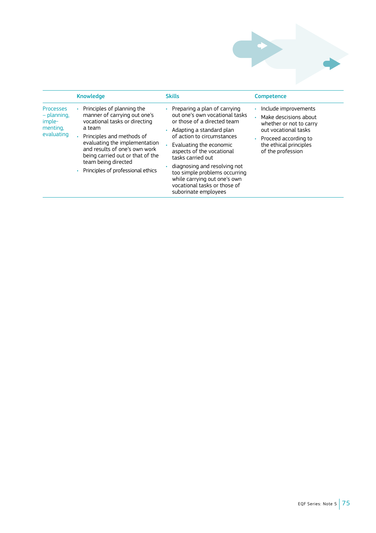

| Include improvements<br>Principles of planning the<br><b>Processes</b><br>Preparing a plan of carrying<br>manner of carrying out one's<br>out one's own vocational tasks<br>– planning,<br>Make descisions about<br>vocational tasks or directing<br>or those of a directed team<br>imple-<br>whether or not to carry<br>menting.<br>a team<br>out vocational tasks<br>• Adapting a standard plan<br>evaluating<br>Principles and methods of<br>of action to circumstances<br>• Proceed according to<br>evaluating the implementation<br>the ethical principles<br>Evaluating the economic<br>and results of one's own work<br>of the profession<br>aspects of the vocational<br>being carried out or that of the<br>tasks carried out<br>team being directed<br>diagnosing and resolving not<br>• Principles of professional ethics<br>too simple problems occurring<br>while carrying out one's own<br>vocational tasks or those of<br>suborinate employees |
|---------------------------------------------------------------------------------------------------------------------------------------------------------------------------------------------------------------------------------------------------------------------------------------------------------------------------------------------------------------------------------------------------------------------------------------------------------------------------------------------------------------------------------------------------------------------------------------------------------------------------------------------------------------------------------------------------------------------------------------------------------------------------------------------------------------------------------------------------------------------------------------------------------------------------------------------------------------|
|                                                                                                                                                                                                                                                                                                                                                                                                                                                                                                                                                                                                                                                                                                                                                                                                                                                                                                                                                               |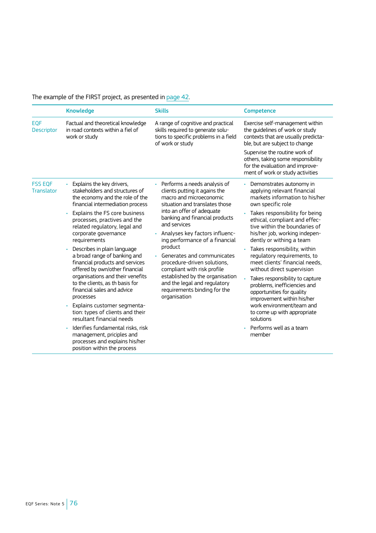# The example of the FIRST project, as presented in [page 42.](#page-43-0)

|                                     | <b>Knowledge</b>                                                                                                                                                                                                                                                                                                                                                                                                                                                                                                                                                                                                                                                                                                                                                                      | <b>Skills</b>                                                                                                                                                                                                                                                                                                                                                                                                                                                                                             | Competence                                                                                                                                                                                                                                                                                                                                                                                                                                                                                                                                                                                                                                                       |
|-------------------------------------|---------------------------------------------------------------------------------------------------------------------------------------------------------------------------------------------------------------------------------------------------------------------------------------------------------------------------------------------------------------------------------------------------------------------------------------------------------------------------------------------------------------------------------------------------------------------------------------------------------------------------------------------------------------------------------------------------------------------------------------------------------------------------------------|-----------------------------------------------------------------------------------------------------------------------------------------------------------------------------------------------------------------------------------------------------------------------------------------------------------------------------------------------------------------------------------------------------------------------------------------------------------------------------------------------------------|------------------------------------------------------------------------------------------------------------------------------------------------------------------------------------------------------------------------------------------------------------------------------------------------------------------------------------------------------------------------------------------------------------------------------------------------------------------------------------------------------------------------------------------------------------------------------------------------------------------------------------------------------------------|
| <b>EOF</b><br><b>Descriptor</b>     | Factual and theoretical knowledge<br>in road contexts within a fiel of<br>work or study                                                                                                                                                                                                                                                                                                                                                                                                                                                                                                                                                                                                                                                                                               | A range of cognitive and practical<br>skills required to generate solu-<br>tions to specific problems in a field<br>of work or study                                                                                                                                                                                                                                                                                                                                                                      | Exercise self-management within<br>the quidelines of work or study<br>contexts that are usually predicta-<br>ble, but are subject to change<br>Supervise the routine work of<br>others, taking some responsibility<br>for the evaluation and improve-<br>ment of work or study activities                                                                                                                                                                                                                                                                                                                                                                        |
| <b>FSS EOF</b><br><b>Translator</b> | • Explains the key drivers,<br>stakeholders and structures of<br>the economy and the role of the<br>financial intermediation process<br>Explains the FS core business<br>ò.<br>processes, practives and the<br>related regulatory, legal and<br>corporate governance<br>requirements<br>Describes in plain language<br>ò.<br>a broad range of banking and<br>financial products and services<br>offered by own/other financial<br>organisations and their venefits<br>to the clients, as th basis for<br>financial sales and advice<br>processes<br>· Explains customer segmenta-<br>tion: types of clients and their<br>resultant financial needs<br>Iderifies fundamental risks, risk<br>management, priciples and<br>processes and explains his/her<br>position within the process | • Performs a needs analysis of<br>clients putting it agains the<br>macro and microeconomic<br>situation and translates those<br>into an offer of adequate<br>banking and financial products<br>and services<br>Analyses key factors influenc-<br>ing performance of a financial<br>product<br>Generates and communicates<br>procedure-driven solutions,<br>compliant with risk profile<br>established by the organisation<br>and the legal and regulatory<br>requirements binding for the<br>organisation | • Demonstrates autonomy in<br>applying relevant financial<br>markets information to his/her<br>own specific role<br>Takes responsibility for being<br>ethical, compliant and effec-<br>tive within the boundaries of<br>his/her job, working indepen-<br>dently or withing a team<br>Takes responsibility, within<br>regulatory requirements, to<br>meet clients' financial needs,<br>without direct supervision<br>• Takes responsibility to capture<br>problems, inefficiencies and<br>opportunities for quality<br>improvement within his/her<br>work environment/team and<br>to come up with appropriate<br>solutions<br>· Performs well as a team<br>member |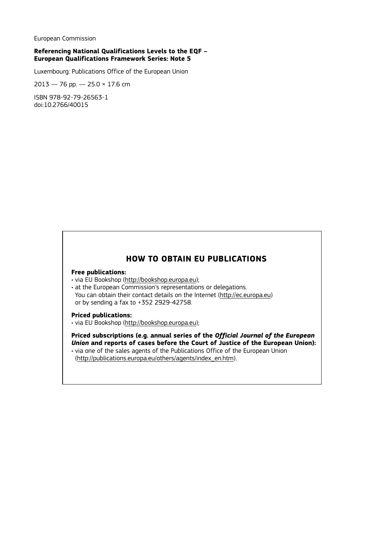European Commission

### **Referencing National Qualifications Levels to the EQF – European Qualifications Framework Series: Note 5**

Luxembourg: Publications Office of the European Union

 $2013 - 76$  pp.  $- 25.0 \times 17.6$  cm

ISBN 978-92-79-26563-1 doi:10.2766/40015

## **HOW TO OBTAIN EU PUBLICATIONS**

### **Free publications:**

- via EU Bookshop [\(http://bookshop.europa.eu](http://bookshop.europa.eu));
- at the European Commission's representations or delegations. You can obtain their contact details on the Internet [\(http://ec.europa.eu\)](http://ec.europa.eu) or by sending a fax to +352 2929-42758.

#### **Priced publications:**

• via EU Bookshop [\(http://bookshop.europa.eu](http://bookshop.europa.eu));

**Priced subscriptions (e.g. annual series of the** *Official Journal of the European Union* **and reports of cases before the Court of Justice of the European Union):**

• via one of the sales agents of the Publications Office of the European Union [\(http://publications.europa.eu/others/agents/index\\_en.htm](http://publications.europa.eu/others/agents/index_en.htm)).